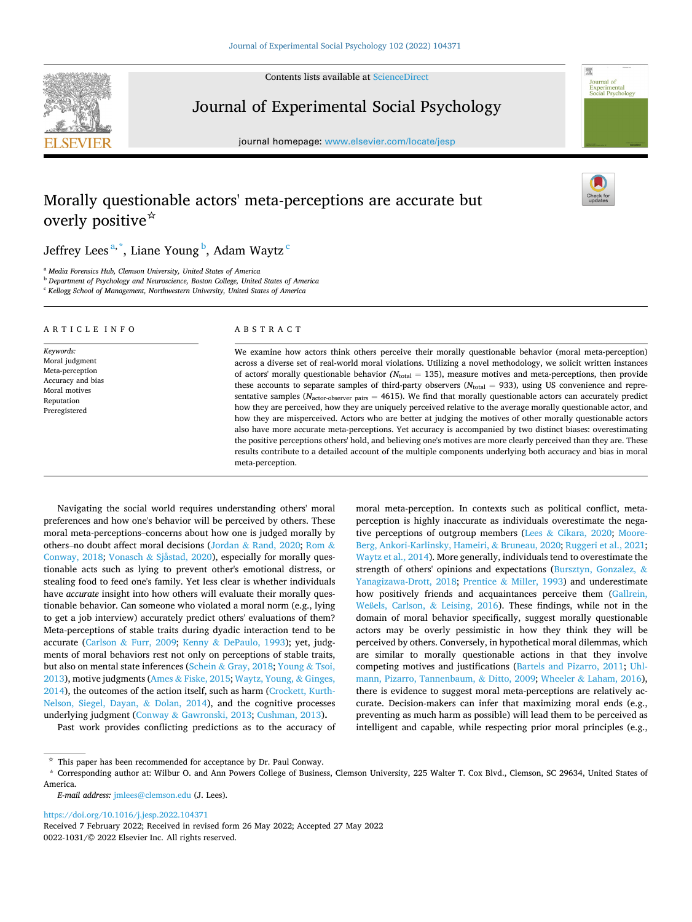Contents lists available at [ScienceDirect](www.sciencedirect.com/science/journal/00221031)



Journal of Experimental Social Psychology

journal homepage: [www.elsevier.com/locate/jesp](https://www.elsevier.com/locate/jesp)

# Morally questionable actors' meta-perceptions are accurate but overly positive☆



Journal of Experimental<br>Social Psychology

# Jeffrey Lees<sup>a,\*</sup>, Liane Young <sup>b</sup>, Adam Waytz <sup>c</sup>

<sup>a</sup> *Media Forensics Hub, Clemson University, United States of America* 

<sup>b</sup> *Department of Psychology and Neuroscience, Boston College, United States of America* 

<sup>c</sup> *Kellogg School of Management, Northwestern University, United States of America* 

| ARTICLE INFO                                                                                                        | ABSTRACT                                                                                                                                                                                                                                                                                                                                                                                                                                                                                                                                                                                                                                                                                                                                                                                                                                                                                                                                                                                                                                                                                                                                                                                                                 |
|---------------------------------------------------------------------------------------------------------------------|--------------------------------------------------------------------------------------------------------------------------------------------------------------------------------------------------------------------------------------------------------------------------------------------------------------------------------------------------------------------------------------------------------------------------------------------------------------------------------------------------------------------------------------------------------------------------------------------------------------------------------------------------------------------------------------------------------------------------------------------------------------------------------------------------------------------------------------------------------------------------------------------------------------------------------------------------------------------------------------------------------------------------------------------------------------------------------------------------------------------------------------------------------------------------------------------------------------------------|
| Keywords:<br>Moral judgment<br>Meta-perception<br>Accuracy and bias<br>Moral motives<br>Reputation<br>Preregistered | We examine how actors think others perceive their morally questionable behavior (moral meta-perception)<br>across a diverse set of real-world moral violations. Utilizing a novel methodology, we solicit written instances<br>of actors' morally questionable behavior ( $N_{total} = 135$ ), measure motives and meta-perceptions, then provide<br>these accounts to separate samples of third-party observers ( $N_{total}$ = 933), using US convenience and repre-<br>sentative samples ( $N_{\text{actor-observer pairs}} = 4615$ ). We find that morally questionable actors can accurately predict<br>how they are perceived, how they are uniquely perceived relative to the average morally questionable actor, and<br>how they are misperceived. Actors who are better at judging the motives of other morally questionable actors<br>also have more accurate meta-perceptions. Yet accuracy is accompanied by two distinct biases: overestimating<br>the positive perceptions others' hold, and believing one's motives are more clearly perceived than they are. These<br>results contribute to a detailed account of the multiple components underlying both accuracy and bias in moral<br>meta-perception. |

Navigating the social world requires understanding others' moral preferences and how one's behavior will be perceived by others. These moral meta-perceptions–concerns about how one is judged morally by others–no doubt affect moral decisions (Jordan & [Rand, 2020;](#page-13-0) [Rom](#page-13-0) & [Conway, 2018;](#page-13-0) Vonasch & [Sjåstad, 2020\)](#page-13-0), especially for morally questionable acts such as lying to prevent other's emotional distress, or stealing food to feed one's family. Yet less clear is whether individuals have *accurate* insight into how others will evaluate their morally questionable behavior. Can someone who violated a moral norm (e.g., lying to get a job interview) accurately predict others' evaluations of them? Meta-perceptions of stable traits during dyadic interaction tend to be accurate (Carlson & [Furr, 2009;](#page-12-0) Kenny & [DePaulo, 1993\)](#page-13-0); yet, judgments of moral behaviors rest not only on perceptions of stable traits, but also on mental state inferences (Schein & [Gray, 2018](#page-13-0); [Young](#page-13-0) & Tsoi, [2013\)](#page-13-0), motive judgments (Ames & [Fiske, 2015](#page-12-0); [Waytz, Young,](#page-13-0) & Ginges, [2014\)](#page-13-0), the outcomes of the action itself, such as harm ([Crockett, Kurth-](#page-12-0)[Nelson, Siegel, Dayan,](#page-12-0) & Dolan, 2014), and the cognitive processes underlying judgment (Conway & [Gawronski, 2013; Cushman, 2013](#page-12-0))**.** 

Past work provides conflicting predictions as to the accuracy of

moral meta-perception. In contexts such as political conflict, metaperception is highly inaccurate as individuals overestimate the negative perceptions of outgroup members (Lees & [Cikara, 2020;](#page-13-0) [Moore-](#page-13-0)[Berg, Ankori-Karlinsky, Hameiri,](#page-13-0) & Bruneau, 2020; [Ruggeri et al., 2021](#page-13-0); [Waytz et al., 2014](#page-13-0)). More generally, individuals tend to overestimate the strength of others' opinions and expectations [\(Bursztyn, Gonzalez,](#page-12-0) & [Yanagizawa-Drott, 2018](#page-12-0); Prentice & [Miller, 1993\)](#page-13-0) and underestimate how positively friends and acquaintances perceive them [\(Gallrein,](#page-12-0)  Weßels, Carlson, & [Leising, 2016](#page-12-0)). These findings, while not in the domain of moral behavior specifically, suggest morally questionable actors may be overly pessimistic in how they think they will be perceived by others. Conversely, in hypothetical moral dilemmas, which are similar to morally questionable actions in that they involve competing motives and justifications ([Bartels and Pizarro, 2011](#page-12-0); [Uhl](#page-13-0)[mann, Pizarro, Tannenbaum,](#page-13-0) & Ditto, 2009; Wheeler & [Laham, 2016](#page-13-0)), there is evidence to suggest moral meta-perceptions are relatively accurate. Decision-makers can infer that maximizing moral ends (e.g., preventing as much harm as possible) will lead them to be perceived as intelligent and capable, while respecting prior moral principles (e.g.,

*E-mail address:* [jmlees@clemson.edu](mailto:jmlees@clemson.edu) (J. Lees).

<https://doi.org/10.1016/j.jesp.2022.104371>

0022-1031/© 2022 Elsevier Inc. All rights reserved. Received 7 February 2022; Received in revised form 26 May 2022; Accepted 27 May 2022

 $^\star\,$  This paper has been recommended for acceptance by Dr. Paul Conway.

<sup>\*</sup> Corresponding author at: Wilbur O. and Ann Powers College of Business, Clemson University, 225 Walter T. Cox Blvd., Clemson, SC 29634, United States of America.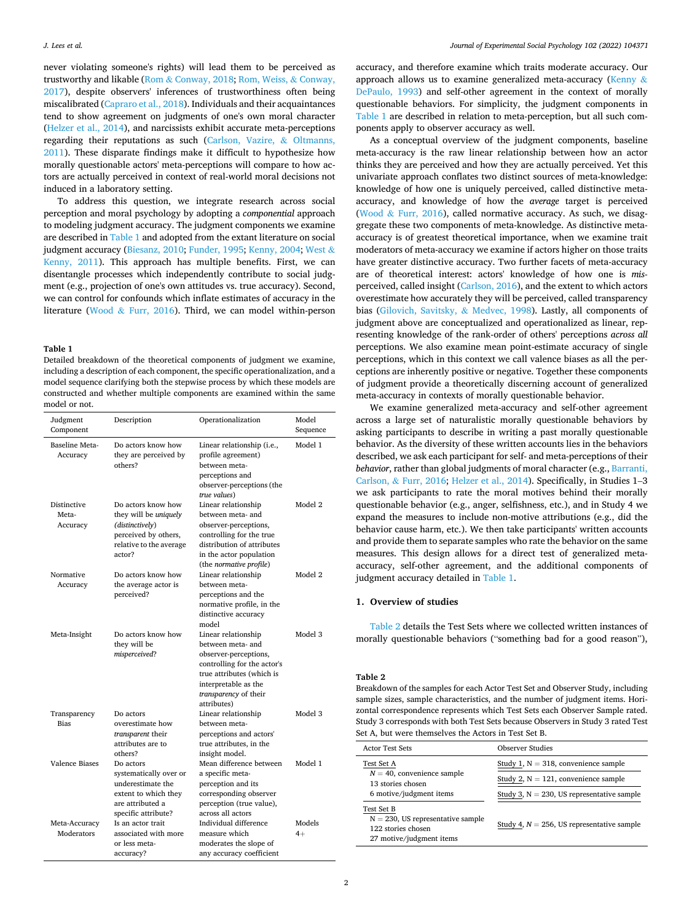never violating someone's rights) will lead them to be perceived as trustworthy and likable (Rom & [Conway, 2018](#page-13-0); [Rom, Weiss,](#page-13-0) & Conway, [2017\)](#page-13-0), despite observers' inferences of trustworthiness often being miscalibrated ([Capraro et al., 2018](#page-12-0)). Individuals and their acquaintances tend to show agreement on judgments of one's own moral character ([Helzer et al., 2014\)](#page-13-0), and narcissists exhibit accurate meta-perceptions regarding their reputations as such [\(Carlson, Vazire,](#page-12-0) & Oltmanns, [2011\)](#page-12-0). These disparate findings make it difficult to hypothesize how morally questionable actors' meta-perceptions will compare to how actors are actually perceived in context of real-world moral decisions not induced in a laboratory setting.

To address this question, we integrate research across social perception and moral psychology by adopting a *componential* approach to modeling judgment accuracy. The judgment components we examine are described in Table 1 and adopted from the extant literature on social judgment accuracy [\(Biesanz, 2010](#page-12-0); [Funder, 1995;](#page-12-0) [Kenny, 2004; West](#page-13-0) & [Kenny, 2011\)](#page-13-0). This approach has multiple benefits. First, we can disentangle processes which independently contribute to social judgment (e.g., projection of one's own attitudes vs. true accuracy). Second, we can control for confounds which inflate estimates of accuracy in the literature (Wood & [Furr, 2016](#page-13-0)). Third, we can model within-person

## **Table 1**

Detailed breakdown of the theoretical components of judgment we examine, including a description of each component, the specific operationalization, and a model sequence clarifying both the stepwise process by which these models are constructed and whether multiple components are examined within the same model or not.

| Judgment<br>Component            | Description                                                                                                                        | Operationalization                                                                                                                                                                                   | Model<br>Sequence |
|----------------------------------|------------------------------------------------------------------------------------------------------------------------------------|------------------------------------------------------------------------------------------------------------------------------------------------------------------------------------------------------|-------------------|
| Baseline Meta-<br>Accuracy       | Do actors know how<br>they are perceived by<br>others?                                                                             | Linear relationship (i.e.,<br>profile agreement)<br>between meta-<br>perceptions and<br>observer-perceptions (the<br>true values)                                                                    | Model 1           |
| Distinctive<br>Meta-<br>Accuracy | Do actors know how<br>they will be <i>uniquely</i><br>(distinctively)<br>perceived by others,<br>relative to the average<br>actor? | Linear relationship<br>between meta- and<br>observer-perceptions,<br>controlling for the true<br>distribution of attributes<br>in the actor population<br>(the normative profile)                    | Model 2           |
| Normative<br>Accuracy            | Do actors know how<br>the average actor is<br>perceived?                                                                           | Linear relationship<br>between meta-<br>perceptions and the<br>normative profile, in the<br>distinctive accuracy<br>model                                                                            | Model 2           |
| Meta-Insight                     | Do actors know how<br>they will be<br>misperceived?                                                                                | Linear relationship<br>between meta- and<br>observer-perceptions,<br>controlling for the actor's<br>true attributes (which is<br>interpretable as the<br><i>transparency</i> of their<br>attributes) | Model 3           |
| Transparency<br><b>Bias</b>      | Do actors<br>overestimate how<br>transparent their<br>attributes are to<br>others?                                                 | Linear relationship<br>between meta-<br>perceptions and actors'<br>true attributes, in the<br>insight model.                                                                                         | Model 3           |
| <b>Valence Biases</b>            | Do actors<br>systematically over or<br>underestimate the<br>extent to which they<br>are attributed a<br>specific attribute?        | Mean difference between<br>a specific meta-<br>perception and its<br>corresponding observer<br>perception (true value),<br>across all actors                                                         | Model 1           |
| Meta-Accuracy<br>Moderators      | Is an actor trait<br>associated with more<br>or less meta-<br>accuracy?                                                            | Individual difference<br>measure which<br>moderates the slope of<br>any accuracy coefficient                                                                                                         | Models<br>$4+$    |

accuracy, and therefore examine which traits moderate accuracy. Our approach allows us to examine generalized meta-accuracy ([Kenny](#page-13-0) & [DePaulo, 1993](#page-13-0)) and self-other agreement in the context of morally questionable behaviors. For simplicity, the judgment components in Table 1 are described in relation to meta-perception, but all such components apply to observer accuracy as well.

As a conceptual overview of the judgment components, baseline meta-accuracy is the raw linear relationship between how an actor thinks they are perceived and how they are actually perceived. Yet this univariate approach conflates two distinct sources of meta-knowledge: knowledge of how one is uniquely perceived, called distinctive metaaccuracy, and knowledge of how the *average* target is perceived (Wood & [Furr, 2016](#page-13-0)), called normative accuracy. As such, we disaggregate these two components of meta-knowledge. As distinctive metaaccuracy is of greatest theoretical importance, when we examine trait moderators of meta-accuracy we examine if actors higher on those traits have greater distinctive accuracy. Two further facets of meta-accuracy are of theoretical interest: actors' knowledge of how one is *mis*perceived, called insight ([Carlson, 2016](#page-12-0)), and the extent to which actors overestimate how accurately they will be perceived, called transparency bias [\(Gilovich, Savitsky,](#page-12-0) & Medvec, 1998). Lastly, all components of judgment above are conceptualized and operationalized as linear, representing knowledge of the rank-order of others' perceptions *across all*  perceptions. We also examine mean point-estimate accuracy of single perceptions, which in this context we call valence biases as all the perceptions are inherently positive or negative. Together these components of judgment provide a theoretically discerning account of generalized meta-accuracy in contexts of morally questionable behavior.

We examine generalized meta-accuracy and self-other agreement across a large set of naturalistic morally questionable behaviors by asking participants to describe in writing a past morally questionable behavior. As the diversity of these written accounts lies in the behaviors described, we ask each participant for self- and meta-perceptions of their *behavior*, rather than global judgments of moral character (e.g., [Barranti,](#page-12-0)  Carlson, & [Furr, 2016](#page-12-0); [Helzer et al., 2014\)](#page-13-0). Specifically, in Studies 1–3 we ask participants to rate the moral motives behind their morally questionable behavior (e.g., anger, selfishness, etc.), and in Study 4 we expand the measures to include non-motive attributions (e.g., did the behavior cause harm, etc.). We then take participants' written accounts and provide them to separate samples who rate the behavior on the same measures. This design allows for a direct test of generalized metaaccuracy, self-other agreement, and the additional components of judgment accuracy detailed in Table 1.

## **1. Overview of studies**

Table 2 details the Test Sets where we collected written instances of morally questionable behaviors ("something bad for a good reason"),

## **Table 2**

Breakdown of the samples for each Actor Test Set and Observer Study, including sample sizes, sample characteristics, and the number of judgment items. Horizontal correspondence represents which Test Sets each Observer Sample rated. Study 3 corresponds with both Test Sets because Observers in Study 3 rated Test Set A, but were themselves the Actors in Test Set B.

| <b>Actor Test Sets</b>                                                                               | Observer Studies                              |  |  |  |  |
|------------------------------------------------------------------------------------------------------|-----------------------------------------------|--|--|--|--|
| Test Set A                                                                                           | Study 1, $N = 318$ , convenience sample       |  |  |  |  |
| $N = 40$ , convenience sample<br>13 stories chosen                                                   | Study 2, $N = 121$ , convenience sample       |  |  |  |  |
| 6 motive/judgment items                                                                              | Study 3, $N = 230$ , US representative sample |  |  |  |  |
| Test Set B<br>$N = 230$ , US representative sample<br>122 stories chosen<br>27 motive/judgment items | Study 4, $N = 256$ , US representative sample |  |  |  |  |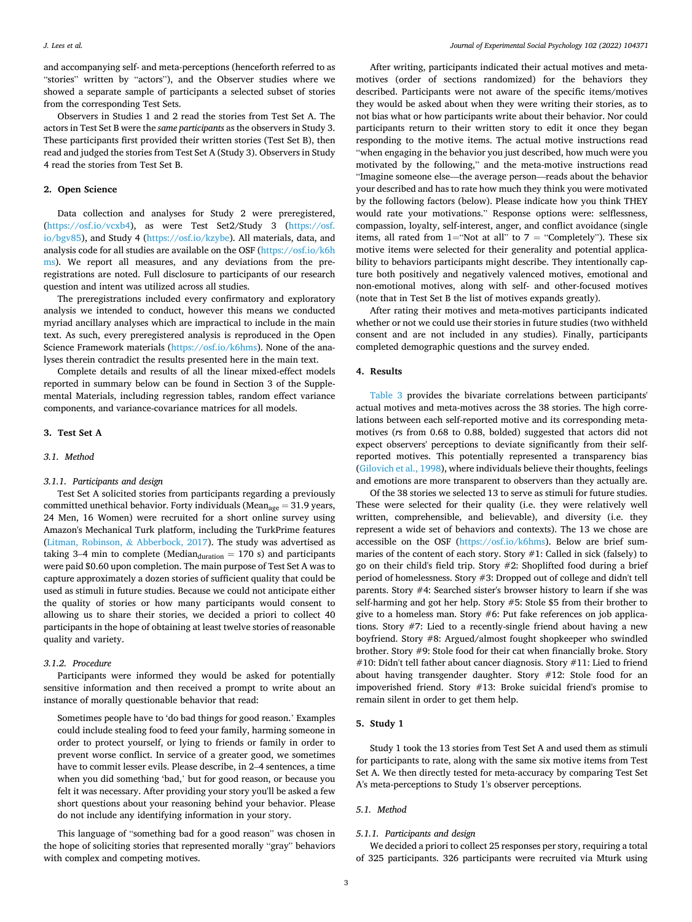and accompanying self- and meta-perceptions (henceforth referred to as "stories" written by "actors"), and the Observer studies where we showed a separate sample of participants a selected subset of stories from the corresponding Test Sets.

Observers in Studies 1 and 2 read the stories from Test Set A. The actors in Test Set B were the *same participants* as the observers in Study 3. These participants first provided their written stories (Test Set B), then read and judged the stories from Test Set A (Study 3). Observers in Study 4 read the stories from Test Set B.

## **2. Open Science**

Data collection and analyses for Study 2 were preregistered, (<https://osf.io/vcxb4>), as were Test Set2/Study 3 ([https://osf.](https://osf.io/bgv85)  [io/bgv85](https://osf.io/bgv85)), and Study 4 [\(https://osf.io/kzybe\)](https://osf.io/kzybe). All materials, data, and analysis code for all studies are available on the OSF ([https://osf.io/k6h](https://osf.io/k6hms)  [ms\)](https://osf.io/k6hms). We report all measures, and any deviations from the preregistrations are noted. Full disclosure to participants of our research question and intent was utilized across all studies.

The preregistrations included every confirmatory and exploratory analysis we intended to conduct, however this means we conducted myriad ancillary analyses which are impractical to include in the main text. As such, every preregistered analysis is reproduced in the Open Science Framework materials [\(https://osf.io/k6hms](https://osf.io/k6hms)). None of the analyses therein contradict the results presented here in the main text.

Complete details and results of all the linear mixed-effect models reported in summary below can be found in Section 3 of the Supplemental Materials, including regression tables, random effect variance components, and variance-covariance matrices for all models.

# **3. Test Set A**

## *3.1. Method*

# *3.1.1. Participants and design*

Test Set A solicited stories from participants regarding a previously committed unethical behavior. Forty individuals (Mean<sub>age</sub> = 31.9 years, 24 Men, 16 Women) were recruited for a short online survey using Amazon's Mechanical Turk platform, including the TurkPrime features ([Litman, Robinson,](#page-13-0) & Abberbock, 2017). The study was advertised as taking 3–4 min to complete (Median $_{\text{duration}}$  = 170 s) and participants were paid \$0.60 upon completion. The main purpose of Test Set A was to capture approximately a dozen stories of sufficient quality that could be used as stimuli in future studies. Because we could not anticipate either the quality of stories or how many participants would consent to allowing us to share their stories, we decided a priori to collect 40 participants in the hope of obtaining at least twelve stories of reasonable quality and variety.

#### *3.1.2. Procedure*

Participants were informed they would be asked for potentially sensitive information and then received a prompt to write about an instance of morally questionable behavior that read:

Sometimes people have to 'do bad things for good reason.' Examples could include stealing food to feed your family, harming someone in order to protect yourself, or lying to friends or family in order to prevent worse conflict. In service of a greater good, we sometimes have to commit lesser evils. Please describe, in 2–4 sentences, a time when you did something 'bad,' but for good reason, or because you felt it was necessary. After providing your story you'll be asked a few short questions about your reasoning behind your behavior. Please do not include any identifying information in your story.

This language of "something bad for a good reason" was chosen in the hope of soliciting stories that represented morally "gray" behaviors with complex and competing motives.

After writing, participants indicated their actual motives and metamotives (order of sections randomized) for the behaviors they described. Participants were not aware of the specific items/motives they would be asked about when they were writing their stories, as to not bias what or how participants write about their behavior. Nor could participants return to their written story to edit it once they began responding to the motive items. The actual motive instructions read "when engaging in the behavior you just described, how much were you motivated by the following," and the meta-motive instructions read "Imagine someone else—the average person—reads about the behavior your described and has to rate how much they think you were motivated by the following factors (below). Please indicate how you think THEY would rate your motivations." Response options were: selflessness, compassion, loyalty, self-interest, anger, and conflict avoidance (single items, all rated from 1="Not at all" to 7 = "Completely"). These six motive items were selected for their generality and potential applicability to behaviors participants might describe. They intentionally capture both positively and negatively valenced motives, emotional and non-emotional motives, along with self- and other-focused motives (note that in Test Set B the list of motives expands greatly).

After rating their motives and meta-motives participants indicated whether or not we could use their stories in future studies (two withheld consent and are not included in any studies). Finally, participants completed demographic questions and the survey ended.

# **4. Results**

[Table 3](#page-3-0) provides the bivariate correlations between participants' actual motives and meta-motives across the 38 stories. The high correlations between each self-reported motive and its corresponding metamotives (*r*s from 0.68 to 0.88, bolded) suggested that actors did not expect observers' perceptions to deviate significantly from their selfreported motives. This potentially represented a transparency bias ([Gilovich et al., 1998\)](#page-12-0), where individuals believe their thoughts, feelings and emotions are more transparent to observers than they actually are.

Of the 38 stories we selected 13 to serve as stimuli for future studies. These were selected for their quality (i.e. they were relatively well written, comprehensible, and believable), and diversity (i.e. they represent a wide set of behaviors and contexts). The 13 we chose are accessible on the OSF ([https://osf.io/k6hms](https://osf.io/k6hms/)). Below are brief summaries of the content of each story. Story #1: Called in sick (falsely) to go on their child's field trip. Story #2: Shoplifted food during a brief period of homelessness. Story #3: Dropped out of college and didn't tell parents. Story #4: Searched sister's browser history to learn if she was self-harming and got her help. Story #5: Stole \$5 from their brother to give to a homeless man. Story #6: Put fake references on job applications. Story #7: Lied to a recently-single friend about having a new boyfriend. Story #8: Argued/almost fought shopkeeper who swindled brother. Story #9: Stole food for their cat when financially broke. Story #10: Didn't tell father about cancer diagnosis. Story #11: Lied to friend about having transgender daughter. Story #12: Stole food for an impoverished friend. Story #13: Broke suicidal friend's promise to remain silent in order to get them help.

# **5. Study 1**

Study 1 took the 13 stories from Test Set A and used them as stimuli for participants to rate, along with the same six motive items from Test Set A. We then directly tested for meta-accuracy by comparing Test Set A's meta-perceptions to Study 1's observer perceptions.

# *5.1. Method*

# *5.1.1. Participants and design*

We decided a priori to collect 25 responses per story, requiring a total of 325 participants. 326 participants were recruited via Mturk using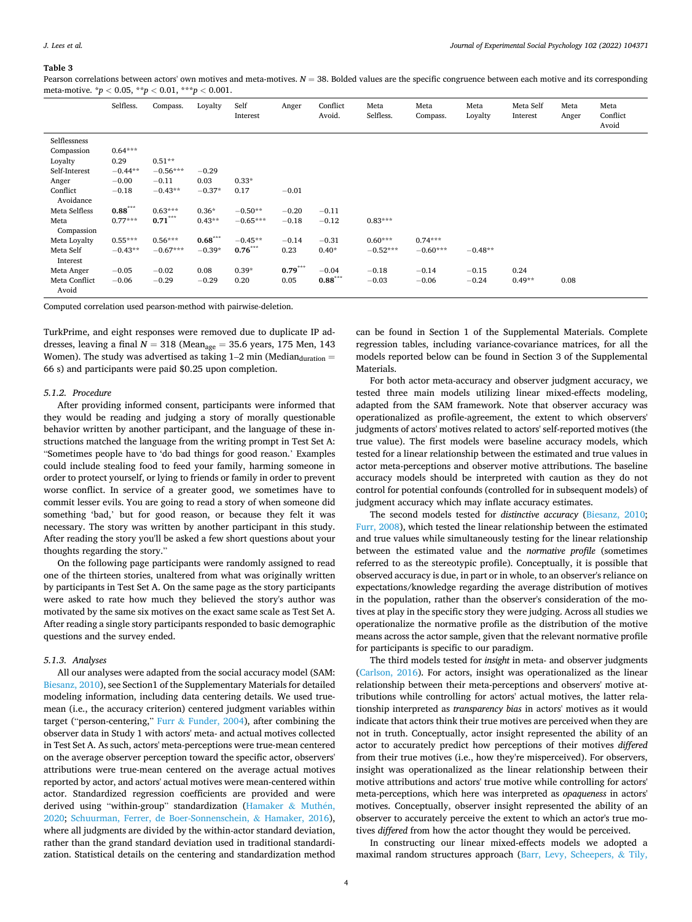## <span id="page-3-0"></span>**Table 3**

Pearson correlations between actors' own motives and meta-motives.  $N = 38$ . Bolded values are the specific congruence between each motive and its corresponding meta-motive. \**p <* 0.05, \*\**p <* 0.01, \*\*\**p <* 0.001.

|                        | Selfless. | Compass.   | Loyalty   | Self<br>Interest | Anger     | Conflict<br>Avoid. | Meta<br>Selfless. | Meta<br>Compass. | Meta<br>Loyalty | Meta Self<br>Interest | Meta<br>Anger | Meta<br>Conflict<br>Avoid |
|------------------------|-----------|------------|-----------|------------------|-----------|--------------------|-------------------|------------------|-----------------|-----------------------|---------------|---------------------------|
| Selflessness           |           |            |           |                  |           |                    |                   |                  |                 |                       |               |                           |
| Compassion             | $0.64***$ |            |           |                  |           |                    |                   |                  |                 |                       |               |                           |
| Loyalty                | 0.29      | $0.51**$   |           |                  |           |                    |                   |                  |                 |                       |               |                           |
| Self-Interest          | $-0.44**$ | $-0.56***$ | $-0.29$   |                  |           |                    |                   |                  |                 |                       |               |                           |
| Anger                  | $-0.00$   | $-0.11$    | 0.03      | $0.33*$          |           |                    |                   |                  |                 |                       |               |                           |
| Conflict<br>Avoidance  | $-0.18$   | $-0.43**$  | $-0.37*$  | 0.17             | $-0.01$   |                    |                   |                  |                 |                       |               |                           |
| Meta Selfless          | $0.88***$ | $0.63***$  | $0.36*$   | $-0.50**$        | $-0.20$   | $-0.11$            |                   |                  |                 |                       |               |                           |
| Meta<br>Compassion     | $0.77***$ | $0.71***$  | $0.43**$  | $-0.65***$       | $-0.18$   | $-0.12$            | $0.83***$         |                  |                 |                       |               |                           |
| Meta Loyalty           | $0.55***$ | $0.56***$  | $0.68***$ | $-0.45**$        | $-0.14$   | $-0.31$            | $0.60***$         | $0.74***$        |                 |                       |               |                           |
| Meta Self<br>Interest  | $-0.43**$ | $-0.67***$ | $-0.39*$  | $0.76***$        | 0.23      | $0.40*$            | $-0.52***$        | $-0.60***$       | $-0.48**$       |                       |               |                           |
| Meta Anger             | $-0.05$   | $-0.02$    | 0.08      | $0.39*$          | $0.79***$ | $-0.04$            | $-0.18$           | $-0.14$          | $-0.15$         | 0.24                  |               |                           |
| Meta Conflict<br>Avoid | $-0.06$   | $-0.29$    | $-0.29$   | 0.20             | 0.05      | $0.88***$          | $-0.03$           | $-0.06$          | $-0.24$         | $0.49**$              | 0.08          |                           |

Computed correlation used pearson-method with pairwise-deletion.

TurkPrime, and eight responses were removed due to duplicate IP addresses, leaving a final  $N = 318$  (Mean<sub>age</sub> = 35.6 years, 175 Men, 143 Women). The study was advertised as taking  $1-2$  min (Median $_{\text{duration}} =$ 66 s) and participants were paid \$0.25 upon completion.

#### *5.1.2. Procedure*

After providing informed consent, participants were informed that they would be reading and judging a story of morally questionable behavior written by another participant, and the language of these instructions matched the language from the writing prompt in Test Set A: "Sometimes people have to 'do bad things for good reason.' Examples could include stealing food to feed your family, harming someone in order to protect yourself, or lying to friends or family in order to prevent worse conflict. In service of a greater good, we sometimes have to commit lesser evils. You are going to read a story of when someone did something 'bad,' but for good reason, or because they felt it was necessary. The story was written by another participant in this study. After reading the story you'll be asked a few short questions about your thoughts regarding the story."

On the following page participants were randomly assigned to read one of the thirteen stories, unaltered from what was originally written by participants in Test Set A. On the same page as the story participants were asked to rate how much they believed the story's author was motivated by the same six motives on the exact same scale as Test Set A. After reading a single story participants responded to basic demographic questions and the survey ended.

#### *5.1.3. Analyses*

All our analyses were adapted from the social accuracy model (SAM: [Biesanz, 2010](#page-12-0)), see Section1 of the Supplementary Materials for detailed modeling information, including data centering details. We used truemean (i.e., the accuracy criterion) centered judgment variables within target ("person-centering," Furr  $&$  [Funder, 2004](#page-12-0)), after combining the observer data in Study 1 with actors' meta- and actual motives collected in Test Set A. As such, actors' meta-perceptions were true-mean centered on the average observer perception toward the specific actor, observers' attributions were true-mean centered on the average actual motives reported by actor, and actors' actual motives were mean-centered within actor. Standardized regression coefficients are provided and were derived using "within-group" standardization ([Hamaker](#page-12-0) & Muthén, [2020;](#page-12-0) [Schuurman, Ferrer, de Boer-Sonnenschein,](#page-13-0) & Hamaker, 2016), where all judgments are divided by the within-actor standard deviation, rather than the grand standard deviation used in traditional standardization. Statistical details on the centering and standardization method can be found in Section 1 of the Supplemental Materials. Complete regression tables, including variance-covariance matrices, for all the models reported below can be found in Section 3 of the Supplemental Materials.

For both actor meta-accuracy and observer judgment accuracy, we tested three main models utilizing linear mixed-effects modeling, adapted from the SAM framework. Note that observer accuracy was operationalized as profile-agreement, the extent to which observers' judgments of actors' motives related to actors' self-reported motives (the true value). The first models were baseline accuracy models, which tested for a linear relationship between the estimated and true values in actor meta-perceptions and observer motive attributions. The baseline accuracy models should be interpreted with caution as they do not control for potential confounds (controlled for in subsequent models) of judgment accuracy which may inflate accuracy estimates.

The second models tested for *distinctive accuracy* ([Biesanz, 2010](#page-12-0); [Furr, 2008](#page-12-0)), which tested the linear relationship between the estimated and true values while simultaneously testing for the linear relationship between the estimated value and the *normative profile* (sometimes referred to as the stereotypic profile). Conceptually, it is possible that observed accuracy is due, in part or in whole, to an observer's reliance on expectations/knowledge regarding the average distribution of motives in the population, rather than the observer's consideration of the motives at play in the specific story they were judging. Across all studies we operationalize the normative profile as the distribution of the motive means across the actor sample, given that the relevant normative profile for participants is specific to our paradigm.

The third models tested for *insight* in meta- and observer judgments ([Carlson, 2016\)](#page-12-0). For actors, insight was operationalized as the linear relationship between their meta-perceptions and observers' motive attributions while controlling for actors' actual motives, the latter relationship interpreted as *transparency bias* in actors' motives as it would indicate that actors think their true motives are perceived when they are not in truth. Conceptually, actor insight represented the ability of an actor to accurately predict how perceptions of their motives *differed*  from their true motives (i.e., how they're misperceived). For observers, insight was operationalized as the linear relationship between their motive attributions and actors' true motive while controlling for actors' meta-perceptions, which here was interpreted as *opaqueness* in actors' motives. Conceptually, observer insight represented the ability of an observer to accurately perceive the extent to which an actor's true motives *differed* from how the actor thought they would be perceived.

In constructing our linear mixed-effects models we adopted a maximal random structures approach [\(Barr, Levy, Scheepers,](#page-12-0) & Tily,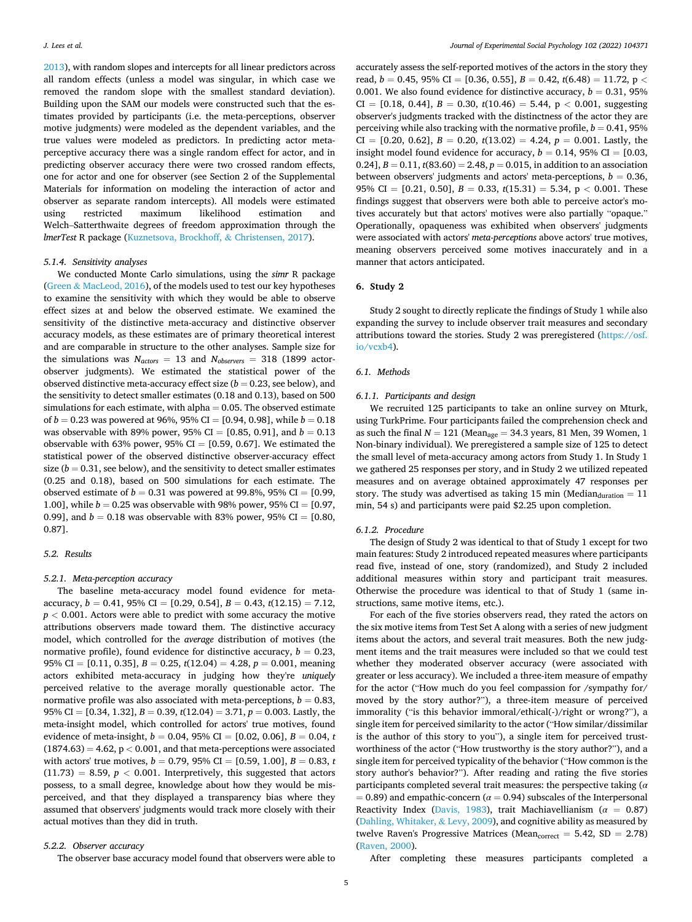[2013\)](#page-12-0), with random slopes and intercepts for all linear predictors across all random effects (unless a model was singular, in which case we removed the random slope with the smallest standard deviation). Building upon the SAM our models were constructed such that the estimates provided by participants (i.e. the meta-perceptions, observer motive judgments) were modeled as the dependent variables, and the true values were modeled as predictors. In predicting actor metaperceptive accuracy there was a single random effect for actor, and in predicting observer accuracy there were two crossed random effects, one for actor and one for observer (see Section 2 of the Supplemental Materials for information on modeling the interaction of actor and observer as separate random intercepts). All models were estimated using restricted maximum likelihood estimation and Welch–Satterthwaite degrees of freedom approximation through the *lmerTest* R package ([Kuznetsova, Brockhoff,](#page-13-0) & Christensen, 2017).

# *5.1.4. Sensitivity analyses*

We conducted Monte Carlo simulations, using the *simr* R package (Green & [MacLeod, 2016](#page-12-0)), of the models used to test our key hypotheses to examine the sensitivity with which they would be able to observe effect sizes at and below the observed estimate. We examined the sensitivity of the distinctive meta-accuracy and distinctive observer accuracy models, as these estimates are of primary theoretical interest and are comparable in structure to the other analyses. Sample size for the simulations was  $N_{actors} = 13$  and  $N_{observations} = 318$  (1899 actorobserver judgments). We estimated the statistical power of the observed distinctive meta-accuracy effect size  $(b = 0.23$ , see below), and the sensitivity to detect smaller estimates (0.18 and 0.13), based on 500 simulations for each estimate, with alpha  $= 0.05$ . The observed estimate of *b* = 0.23 was powered at 96%, 95% CI = [0.94, 0.98], while *b* = 0.18 was observable with 89% power, 95% CI =  $[0.85, 0.91]$ , and  $b = 0.13$ observable with 63% power, 95% CI =  $[0.59, 0.67]$ . We estimated the statistical power of the observed distinctive observer-accuracy effect size  $(b = 0.31$ , see below), and the sensitivity to detect smaller estimates (0.25 and 0.18), based on 500 simulations for each estimate. The observed estimate of  $b = 0.31$  was powered at 99.8%, 95% CI = [0.99, 1.00], while  $b = 0.25$  was observable with 98% power, 95% CI = [0.97, 0.99], and  $b = 0.18$  was observable with 83% power, 95% CI = [0.80, 0.87].

# *5.2. Results*

# *5.2.1. Meta-perception accuracy*

The baseline meta-accuracy model found evidence for metaaccuracy,  $b = 0.41$ , 95% CI = [0.29, 0.54],  $B = 0.43$ ,  $t(12.15) = 7.12$ ,  $p < 0.001$ . Actors were able to predict with some accuracy the motive attributions observers made toward them. The distinctive accuracy model, which controlled for the *average* distribution of motives (the normative profile), found evidence for distinctive accuracy,  $b = 0.23$ , 95% CI = [0.11, 0.35],  $B = 0.25$ ,  $t(12.04) = 4.28$ ,  $p = 0.001$ , meaning actors exhibited meta-accuracy in judging how they're *uniquely*  perceived relative to the average morally questionable actor. The normative profile was also associated with meta-perceptions,  $b = 0.83$ , 95% CI = [0.34, 1.32], *B* = 0.39, *t*(12.04) = 3.71, *p* = 0.003. Lastly, the meta-insight model, which controlled for actors' true motives, found evidence of meta-insight, *b* = 0.04, 95% CI = [0.02, 0.06], *B* = 0.04, *t*   $(1874.63) = 4.62$ ,  $p < 0.001$ , and that meta-perceptions were associated with actors' true motives,  $b = 0.79$ , 95% CI = [0.59, 1.00],  $B = 0.83$ , *t*  $(11.73) = 8.59, p < 0.001$ . Interpretively, this suggested that actors possess, to a small degree, knowledge about how they would be misperceived, and that they displayed a transparency bias where they assumed that observers' judgments would track more closely with their actual motives than they did in truth.

## *5.2.2. Observer accuracy*

The observer base accuracy model found that observers were able to

accurately assess the self-reported motives of the actors in the story they read, *b* = 0.45, 95% CI = [0.36, 0.55], *B* = 0.42, *t*(6.48) = 11.72, p *<* 0.001. We also found evidence for distinctive accuracy,  $b = 0.31$ , 95%  $CI = [0.18, 0.44], B = 0.30, t(10.46) = 5.44, p < 0.001, suggesting$ observer's judgments tracked with the distinctness of the actor they are perceiving while also tracking with the normative profile,  $b = 0.41$ , 95% CI =  $[0.20, 0.62]$ ,  $B = 0.20$ ,  $t(13.02) = 4.24$ ,  $p = 0.001$ . Lastly, the insight model found evidence for accuracy,  $b = 0.14$ , 95% CI = [0.03, 0.24],  $B = 0.11$ ,  $t(83.60) = 2.48$ ,  $p = 0.015$ , in addition to an association between observers' judgments and actors' meta-perceptions,  $b = 0.36$ , 95% CI =  $[0.21, 0.50], B = 0.33, t(15.31) = 5.34, p < 0.001$ . These findings suggest that observers were both able to perceive actor's motives accurately but that actors' motives were also partially "opaque." Operationally, opaqueness was exhibited when observers' judgments were associated with actors' *meta-perceptions* above actors' true motives, meaning observers perceived some motives inaccurately and in a manner that actors anticipated.

# **6. Study 2**

Study 2 sought to directly replicate the findings of Study 1 while also expanding the survey to include observer trait measures and secondary attributions toward the stories. Study 2 was preregistered ([https://osf.](https://osf.io/vcxb4)  [io/vcxb4](https://osf.io/vcxb4)).

# *6.1. Methods*

## *6.1.1. Participants and design*

We recruited 125 participants to take an online survey on Mturk, using TurkPrime. Four participants failed the comprehension check and as such the final  $N = 121$  (Mean<sub>age</sub> = 34.3 years, 81 Men, 39 Women, 1 Non-binary individual). We preregistered a sample size of 125 to detect the small level of meta-accuracy among actors from Study 1. In Study 1 we gathered 25 responses per story, and in Study 2 we utilized repeated measures and on average obtained approximately 47 responses per story. The study was advertised as taking 15 min (Median $_{\text{duration}} = 11$ min, 54 s) and participants were paid \$2.25 upon completion.

#### *6.1.2. Procedure*

The design of Study 2 was identical to that of Study 1 except for two main features: Study 2 introduced repeated measures where participants read five, instead of one, story (randomized), and Study 2 included additional measures within story and participant trait measures. Otherwise the procedure was identical to that of Study 1 (same instructions, same motive items, etc.).

For each of the five stories observers read, they rated the actors on the six motive items from Test Set A along with a series of new judgment items about the actors, and several trait measures. Both the new judgment items and the trait measures were included so that we could test whether they moderated observer accuracy (were associated with greater or less accuracy). We included a three-item measure of empathy for the actor ("How much do you feel compassion for /sympathy for/ moved by the story author?"), a three-item measure of perceived immorality ("is this behavior immoral/ethical(-)/right or wrong?"), a single item for perceived similarity to the actor ("How similar/dissimilar is the author of this story to you"), a single item for perceived trustworthiness of the actor ("How trustworthy is the story author?"), and a single item for perceived typicality of the behavior ("How common is the story author's behavior?"). After reading and rating the five stories participants completed several trait measures: the perspective taking (*α*   $= 0.89$ ) and empathic-concern ( $\alpha = 0.94$ ) subscales of the Interpersonal Reactivity Index [\(Davis, 1983\)](#page-12-0), trait Machiavellianism (*α* = 0.87) ([Dahling, Whitaker,](#page-12-0) & Levy, 2009), and cognitive ability as measured by twelve Raven's Progressive Matrices (Mean $_{\text{correct}} = 5.42, \text{ SD} = 2.78$ ) ([Raven, 2000](#page-13-0)).

After completing these measures participants completed a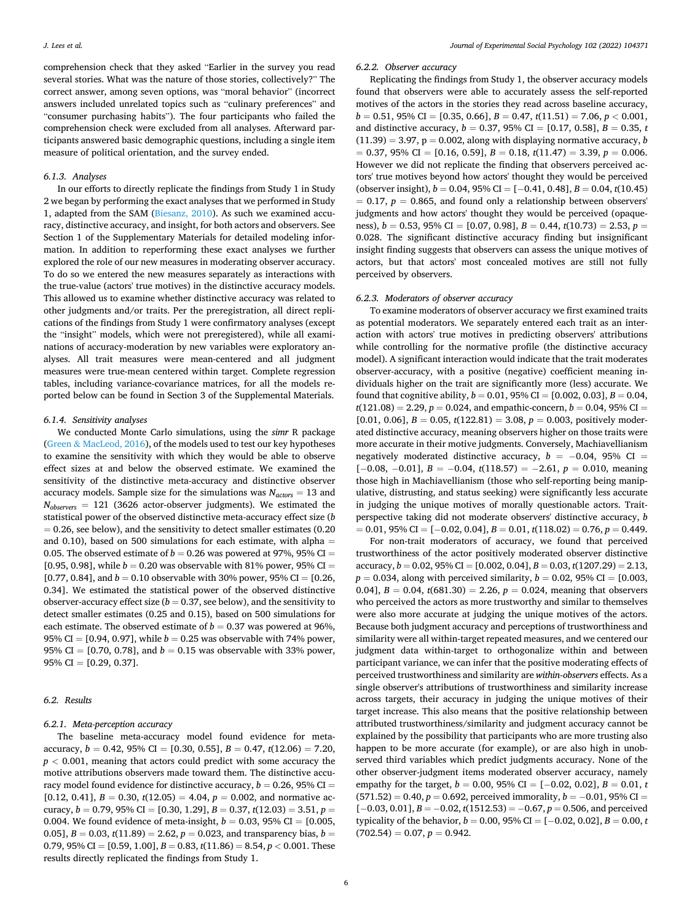comprehension check that they asked "Earlier in the survey you read several stories. What was the nature of those stories, collectively?" The correct answer, among seven options, was "moral behavior" (incorrect answers included unrelated topics such as "culinary preferences" and "consumer purchasing habits"). The four participants who failed the comprehension check were excluded from all analyses. Afterward participants answered basic demographic questions, including a single item measure of political orientation, and the survey ended.

### *6.1.3. Analyses*

In our efforts to directly replicate the findings from Study 1 in Study 2 we began by performing the exact analyses that we performed in Study 1, adapted from the SAM [\(Biesanz, 2010\)](#page-12-0). As such we examined accuracy, distinctive accuracy, and insight, for both actors and observers. See Section 1 of the Supplementary Materials for detailed modeling information. In addition to reperforming these exact analyses we further explored the role of our new measures in moderating observer accuracy. To do so we entered the new measures separately as interactions with the true-value (actors' true motives) in the distinctive accuracy models. This allowed us to examine whether distinctive accuracy was related to other judgments and/or traits. Per the preregistration, all direct replications of the findings from Study 1 were confirmatory analyses (except the "insight" models, which were not preregistered), while all examinations of accuracy-moderation by new variables were exploratory analyses. All trait measures were mean-centered and all judgment measures were true-mean centered within target. Complete regression tables, including variance-covariance matrices, for all the models reported below can be found in Section 3 of the Supplemental Materials.

## *6.1.4. Sensitivity analyses*

We conducted Monte Carlo simulations, using the *simr* R package (Green & [MacLeod, 2016](#page-12-0)), of the models used to test our key hypotheses to examine the sensitivity with which they would be able to observe effect sizes at and below the observed estimate. We examined the sensitivity of the distinctive meta-accuracy and distinctive observer accuracy models. Sample size for the simulations was  $N_{actors} = 13$  and *Nobservers* = 121 (3626 actor-observer judgments). We estimated the statistical power of the observed distinctive meta-accuracy effect size (*b*   $= 0.26$ , see below), and the sensitivity to detect smaller estimates (0.20) and 0.10), based on 500 simulations for each estimate, with alpha  $=$ 0.05. The observed estimate of  $b = 0.26$  was powered at 97%, 95% CI = [0.95, 0.98], while  $b = 0.20$  was observable with 81% power, 95% CI = [0.77, 0.84], and  $b = 0.10$  observable with 30% power, 95% CI = [0.26,] 0.34]. We estimated the statistical power of the observed distinctive observer-accuracy effect size  $(b = 0.37, \text{see below})$ , and the sensitivity to detect smaller estimates (0.25 and 0.15), based on 500 simulations for each estimate. The observed estimate of  $b = 0.37$  was powered at 96%, 95% CI =  $[0.94, 0.97]$ , while  $b = 0.25$  was observable with 74% power, 95% CI =  $[0.70, 0.78]$ , and  $b = 0.15$  was observable with 33% power,  $95\%$  CI = [0.29, 0.37].

# *6.2. Results*

## *6.2.1. Meta-perception accuracy*

The baseline meta-accuracy model found evidence for metaaccuracy, *b* = 0.42, 95% CI = [0.30, 0.55], *B* = 0.47, *t*(12.06) = 7.20, *p <* 0.001, meaning that actors could predict with some accuracy the motive attributions observers made toward them. The distinctive accuracy model found evidence for distinctive accuracy,  $b = 0.26$ , 95% CI = [0.12, 0.41],  $B = 0.30$ ,  $t(12.05) = 4.04$ ,  $p = 0.002$ , and normative accuracy, *b* = 0.79, 95% CI = [0.30, 1.29], *B* = 0.37, *t*(12.03) = 3.51, *p* = 0.004. We found evidence of meta-insight,  $b = 0.03$ , 95% CI = [0.005, 0.05],  $B = 0.03$ ,  $t(11.89) = 2.62$ ,  $p = 0.023$ , and transparency bias,  $b =$ 0.79, 95% CI =  $[0.59, 1.00]$ ,  $B = 0.83$ ,  $t(11.86) = 8.54$ ,  $p < 0.001$ . These results directly replicated the findings from Study 1.

### *6.2.2. Observer accuracy*

Replicating the findings from Study 1, the observer accuracy models found that observers were able to accurately assess the self-reported motives of the actors in the stories they read across baseline accuracy,  $b = 0.51, 95\% \text{ CI} = [0.35, 0.66], B = 0.47, t(11.51) = 7.06, p < 0.001,$ and distinctive accuracy,  $b = 0.37$ , 95% CI = [0.17, 0.58],  $B = 0.35$ , *t*  $(11.39) = 3.97$ ,  $p = 0.002$ , along with displaying normative accuracy, *b*  $= 0.37, 95\% \text{ CI} = [0.16, 0.59], B = 0.18, t(11.47) = 3.39, p = 0.006.$ However we did not replicate the finding that observers perceived actors' true motives beyond how actors' thought they would be perceived (observer insight), *b* = 0.04, 95% CI = [− 0.41, 0.48], *B* = 0.04, *t*(10.45)  $= 0.17$ ,  $p = 0.865$ , and found only a relationship between observers' judgments and how actors' thought they would be perceived (opaqueness), *b* = 0.53, 95% CI = [0.07, 0.98], *B* = 0.44, *t*(10.73) = 2.53, *p* = 0.028. The significant distinctive accuracy finding but insignificant insight finding suggests that observers can assess the unique motives of actors, but that actors' most concealed motives are still not fully perceived by observers.

# *6.2.3. Moderators of observer accuracy*

To examine moderators of observer accuracy we first examined traits as potential moderators. We separately entered each trait as an interaction with actors' true motives in predicting observers' attributions while controlling for the normative profile (the distinctive accuracy model). A significant interaction would indicate that the trait moderates observer-accuracy, with a positive (negative) coefficient meaning individuals higher on the trait are significantly more (less) accurate. We found that cognitive ability,  $b = 0.01$ , 95% CI = [0.002, 0.03],  $B = 0.04$ ,  $t(121.08) = 2.29, p = 0.024$ , and empathic-concern,  $b = 0.04$ , 95% CI =  $[0.01, 0.06], B = 0.05, t(122.81) = 3.08, p = 0.003$ , positively moderated distinctive accuracy, meaning observers higher on those traits were more accurate in their motive judgments. Conversely, Machiavellianism negatively moderated distinctive accuracy,  $b = -0.04$ , 95% CI = [− 0.08, − 0.01], *B* = − 0.04, *t*(118.57) = − 2.61, *p* = 0.010, meaning those high in Machiavellianism (those who self-reporting being manipulative, distrusting, and status seeking) were significantly less accurate in judging the unique motives of morally questionable actors. Traitperspective taking did not moderate observers' distinctive accuracy, *b*  = 0.01, 95% CI = [− 0.02, 0.04], *B* = 0.01, *t*(118.02) = 0.76, *p* = 0.449.

For non-trait moderators of accuracy, we found that perceived trustworthiness of the actor positively moderated observer distinctive accuracy,  $b = 0.02$ , 95% CI = [0.002, 0.04],  $B = 0.03$ ,  $t(1207.29) = 2.13$ ,  $p = 0.034$ , along with perceived similarity,  $b = 0.02$ , 95% CI = [0.003, 0.04],  $B = 0.04$ ,  $t(681.30) = 2.26$ ,  $p = 0.024$ , meaning that observers who perceived the actors as more trustworthy and similar to themselves were also more accurate at judging the unique motives of the actors. Because both judgment accuracy and perceptions of trustworthiness and similarity were all within-target repeated measures, and we centered our judgment data within-target to orthogonalize within and between participant variance, we can infer that the positive moderating effects of perceived trustworthiness and similarity are *within-observers* effects. As a single observer's attributions of trustworthiness and similarity increase across targets, their accuracy in judging the unique motives of their target increase. This also means that the positive relationship between attributed trustworthiness/similarity and judgment accuracy cannot be explained by the possibility that participants who are more trusting also happen to be more accurate (for example), or are also high in unobserved third variables which predict judgments accuracy. None of the other observer-judgment items moderated observer accuracy, namely empathy for the target, *b* = 0.00, 95% CI = [−0.02, 0.02], *B* = 0.01, *t*  $(571.52) = 0.40, p = 0.692$ , perceived immorality,  $b = -0.01$ , 95% CI = [− 0.03, 0.01], *B* = − 0.02, *t*(1512.53) = − 0.67, *p* = 0.506, and perceived typicality of the behavior, *b* = 0.00, 95% CI = [− 0.02, 0.02], *B* = 0.00, *t*   $(702.54) = 0.07, p = 0.942.$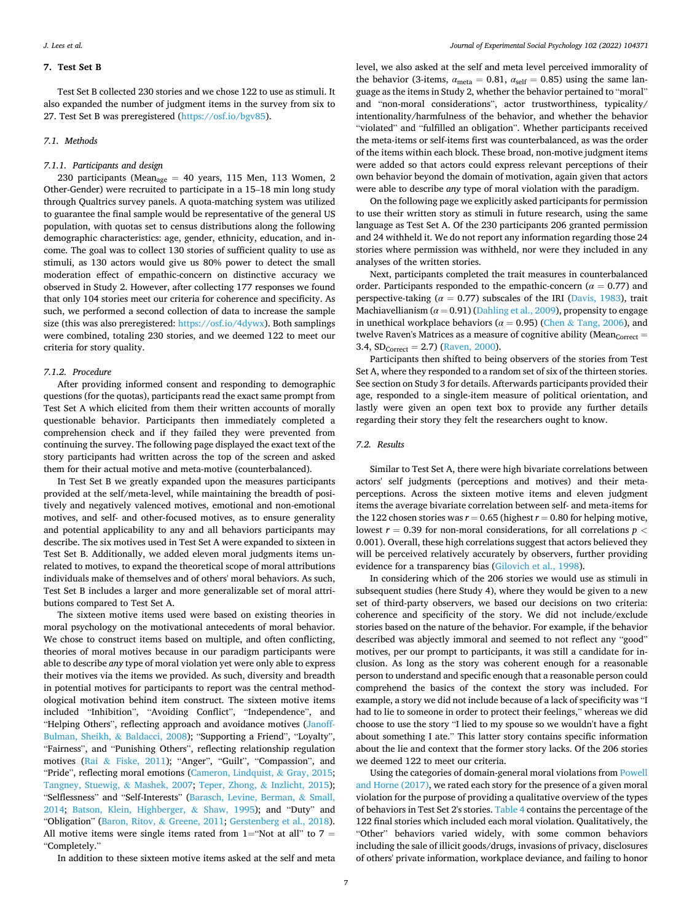# **7. Test Set B**

Test Set B collected 230 stories and we chose 122 to use as stimuli. It also expanded the number of judgment items in the survey from six to 27. Test Set B was preregistered [\(https://osf.io/bgv85\)](https://osf.io/bgv85).

# *7.1. Methods*

## *7.1.1. Participants and design*

230 participants (Mean<sub>age</sub> = 40 years, 115 Men, 113 Women, 2 Other-Gender) were recruited to participate in a 15–18 min long study through Qualtrics survey panels. A quota-matching system was utilized to guarantee the final sample would be representative of the general US population, with quotas set to census distributions along the following demographic characteristics: age, gender, ethnicity, education, and income. The goal was to collect 130 stories of sufficient quality to use as stimuli, as 130 actors would give us 80% power to detect the small moderation effect of empathic-concern on distinctive accuracy we observed in Study 2. However, after collecting 177 responses we found that only 104 stories meet our criteria for coherence and specificity. As such, we performed a second collection of data to increase the sample size (this was also preregistered: [https://osf.io/4dywx\)](https://osf.io/4dywx). Both samplings were combined, totaling 230 stories, and we deemed 122 to meet our criteria for story quality.

# *7.1.2. Procedure*

After providing informed consent and responding to demographic questions (for the quotas), participants read the exact same prompt from Test Set A which elicited from them their written accounts of morally questionable behavior. Participants then immediately completed a comprehension check and if they failed they were prevented from continuing the survey. The following page displayed the exact text of the story participants had written across the top of the screen and asked them for their actual motive and meta-motive (counterbalanced).

In Test Set B we greatly expanded upon the measures participants provided at the self/meta-level, while maintaining the breadth of positively and negatively valenced motives, emotional and non-emotional motives, and self- and other-focused motives, as to ensure generality and potential applicability to any and all behaviors participants may describe. The six motives used in Test Set A were expanded to sixteen in Test Set B. Additionally, we added eleven moral judgments items unrelated to motives, to expand the theoretical scope of moral attributions individuals make of themselves and of others' moral behaviors. As such, Test Set B includes a larger and more generalizable set of moral attributions compared to Test Set A.

The sixteen motive items used were based on existing theories in moral psychology on the motivational antecedents of moral behavior. We chose to construct items based on multiple, and often conflicting, theories of moral motives because in our paradigm participants were able to describe *any* type of moral violation yet were only able to express their motives via the items we provided. As such, diversity and breadth in potential motives for participants to report was the central methodological motivation behind item construct. The sixteen motive items included "Inhibition", "Avoiding Conflict", "Independence", and "Helping Others", reflecting approach and avoidance motives [\(Janoff-](#page-13-0)[Bulman, Sheikh,](#page-13-0) & Baldacci, 2008); "Supporting a Friend", "Loyalty", "Fairness", and "Punishing Others", reflecting relationship regulation motives (Rai & [Fiske, 2011\)](#page-13-0); "Anger", "Guilt", "Compassion", and "Pride", reflecting moral emotions [\(Cameron, Lindquist,](#page-12-0) & Gray, 2015; [Tangney, Stuewig,](#page-13-0) & Mashek, 2007; [Teper, Zhong,](#page-13-0) & Inzlicht, 2015); "Selflessness" and "Self-Interests" [\(Barasch, Levine, Berman,](#page-12-0) & Small, [2014;](#page-12-0) [Batson, Klein, Highberger,](#page-12-0) & Shaw, 1995); and "Duty" and "Obligation" [\(Baron, Ritov,](#page-12-0) & Greene, 2011; [Gerstenberg et al., 2018](#page-12-0)). All motive items were single items rated from  $1=$  "Not at all" to  $7=$ "Completely."

level, we also asked at the self and meta level perceived immorality of the behavior (3-items,  $\alpha_{\text{meta}} = 0.81$ ,  $\alpha_{\text{self}} = 0.85$ ) using the same language as the items in Study 2, whether the behavior pertained to "moral" and "non-moral considerations", actor trustworthiness, typicality/ intentionality/harmfulness of the behavior, and whether the behavior "violated" and "fulfilled an obligation". Whether participants received the meta-items or self-items first was counterbalanced, as was the order of the items within each block. These broad, non-motive judgment items were added so that actors could express relevant perceptions of their own behavior beyond the domain of motivation, again given that actors were able to describe *any* type of moral violation with the paradigm.

On the following page we explicitly asked participants for permission to use their written story as stimuli in future research, using the same language as Test Set A. Of the 230 participants 206 granted permission and 24 withheld it. We do not report any information regarding those 24 stories where permission was withheld, nor were they included in any analyses of the written stories.

Next, participants completed the trait measures in counterbalanced order. Participants responded to the empathic-concern ( $\alpha = 0.77$ ) and perspective-taking ( $\alpha = 0.77$ ) subscales of the IRI ([Davis, 1983](#page-12-0)), trait Machiavellianism ( $\alpha$  = 0.91) [\(Dahling et al., 2009](#page-12-0)), propensity to engage in unethical workplace behaviors ( $\alpha = 0.95$ ) (Chen & [Tang, 2006](#page-12-0)), and twelve Raven's Matrices as a measure of cognitive ability (Mean $_{\text{Correct}} =$ 3.4,  $SD_{Correct} = 2.7$ ) [\(Raven, 2000\)](#page-13-0).

Participants then shifted to being observers of the stories from Test Set A, where they responded to a random set of six of the thirteen stories. See section on Study 3 for details. Afterwards participants provided their age, responded to a single-item measure of political orientation, and lastly were given an open text box to provide any further details regarding their story they felt the researchers ought to know.

# *7.2. Results*

Similar to Test Set A, there were high bivariate correlations between actors' self judgments (perceptions and motives) and their metaperceptions. Across the sixteen motive items and eleven judgment items the average bivariate correlation between self- and meta-items for the 122 chosen stories was  $r = 0.65$  (highest  $r = 0.80$  for helping motive, lowest *r* = 0.39 for non-moral considerations, for all correlations *p <* 0.001). Overall, these high correlations suggest that actors believed they will be perceived relatively accurately by observers, further providing evidence for a transparency bias [\(Gilovich et al., 1998\)](#page-12-0).

In considering which of the 206 stories we would use as stimuli in subsequent studies (here Study 4), where they would be given to a new set of third-party observers, we based our decisions on two criteria: coherence and specificity of the story. We did not include/exclude stories based on the nature of the behavior. For example, if the behavior described was abjectly immoral and seemed to not reflect any "good" motives, per our prompt to participants, it was still a candidate for inclusion. As long as the story was coherent enough for a reasonable person to understand and specific enough that a reasonable person could comprehend the basics of the context the story was included. For example, a story we did not include because of a lack of specificity was "I had to lie to someone in order to protect their feelings," whereas we did choose to use the story "I lied to my spouse so we wouldn't have a fight about something I ate." This latter story contains specific information about the lie and context that the former story lacks. Of the 206 stories we deemed 122 to meet our criteria.

Using the categories of domain-general moral violations from [Powell](#page-13-0)  [and Horne \(2017\)](#page-13-0), we rated each story for the presence of a given moral violation for the purpose of providing a qualitative overview of the types of behaviors in Test Set 2's stories. [Table 4](#page-7-0) contains the percentage of the 122 final stories which included each moral violation. Qualitatively, the "Other" behaviors varied widely, with some common behaviors including the sale of illicit goods/drugs, invasions of privacy, disclosures of others' private information, workplace deviance, and failing to honor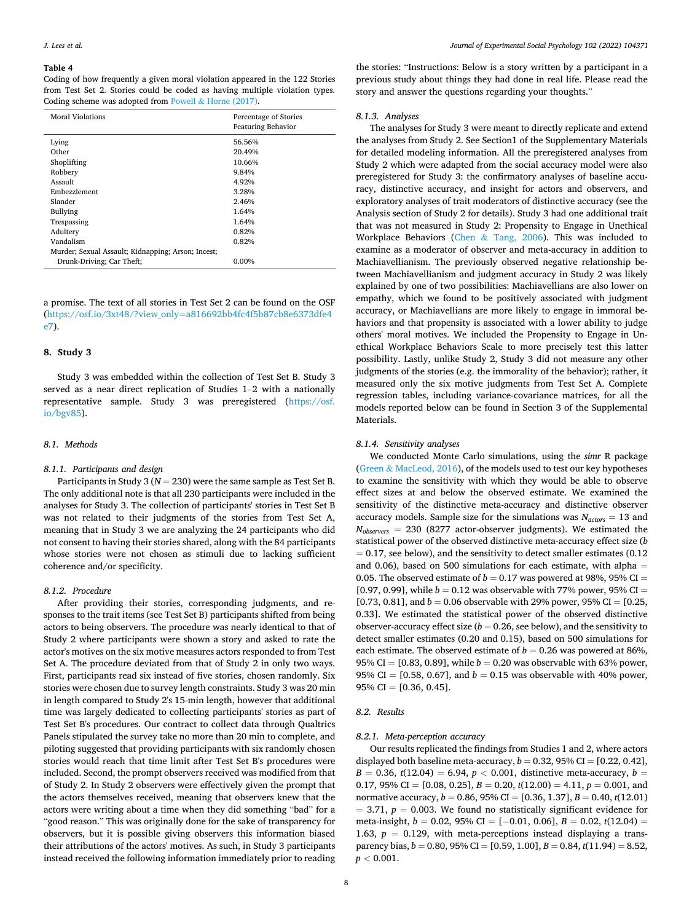#### <span id="page-7-0"></span>**Table 4**

Coding of how frequently a given moral violation appeared in the 122 Stories from Test Set 2. Stories could be coded as having multiple violation types. Coding scheme was adopted from Powell & [Horne \(2017\).](#page-13-0)

| Moral Violations                                   | Percentage of Stories<br><b>Featuring Behavior</b> |  |  |  |
|----------------------------------------------------|----------------------------------------------------|--|--|--|
| Lying                                              | 56.56%                                             |  |  |  |
| Other                                              | 20.49%                                             |  |  |  |
| Shoplifting                                        | 10.66%                                             |  |  |  |
| Robbery                                            | 9.84%                                              |  |  |  |
| Assault                                            | 4.92%                                              |  |  |  |
| Embezzlement                                       | 3.28%                                              |  |  |  |
| Slander                                            | 2.46%                                              |  |  |  |
| Bullying                                           | 1.64%                                              |  |  |  |
| Trespassing                                        | 1.64%                                              |  |  |  |
| Adultery                                           | 0.82%                                              |  |  |  |
| Vandalism                                          | 0.82%                                              |  |  |  |
| Murder; Sexual Assault; Kidnapping; Arson; Incest; |                                                    |  |  |  |
| Drunk-Driving; Car Theft;                          | 0.00%                                              |  |  |  |

a promise. The text of all stories in Test Set 2 can be found on the OSF (https://osf.io/3xt48/?view\_only=[a816692bb4fc4f5b87cb8e6373dfe4](https://osf.io/3xt48/?view_only=a816692bb4fc4f5b87cb8e6373dfe4e7)  [e7\)](https://osf.io/3xt48/?view_only=a816692bb4fc4f5b87cb8e6373dfe4e7).

# **8. Study 3**

Study 3 was embedded within the collection of Test Set B. Study 3 served as a near direct replication of Studies 1–2 with a nationally representative sample. Study 3 was preregistered ([https://osf.](https://osf.io/bgv85)  [io/bgv85](https://osf.io/bgv85)).

## *8.1. Methods*

## *8.1.1. Participants and design*

Participants in Study 3 (*N* = 230) were the same sample as Test Set B. The only additional note is that all 230 participants were included in the analyses for Study 3. The collection of participants' stories in Test Set B was not related to their judgments of the stories from Test Set A, meaning that in Study 3 we are analyzing the 24 participants who did not consent to having their stories shared, along with the 84 participants whose stories were not chosen as stimuli due to lacking sufficient coherence and/or specificity.

#### *8.1.2. Procedure*

After providing their stories, corresponding judgments, and responses to the trait items (see Test Set B) participants shifted from being actors to being observers. The procedure was nearly identical to that of Study 2 where participants were shown a story and asked to rate the actor's motives on the six motive measures actors responded to from Test Set A. The procedure deviated from that of Study 2 in only two ways. First, participants read six instead of five stories, chosen randomly. Six stories were chosen due to survey length constraints. Study 3 was 20 min in length compared to Study 2's 15-min length, however that additional time was largely dedicated to collecting participants' stories as part of Test Set B's procedures. Our contract to collect data through Qualtrics Panels stipulated the survey take no more than 20 min to complete, and piloting suggested that providing participants with six randomly chosen stories would reach that time limit after Test Set B's procedures were included. Second, the prompt observers received was modified from that of Study 2. In Study 2 observers were effectively given the prompt that the actors themselves received, meaning that observers knew that the actors were writing about a time when they did something "bad" for a "good reason." This was originally done for the sake of transparency for observers, but it is possible giving observers this information biased their attributions of the actors' motives. As such, in Study 3 participants instead received the following information immediately prior to reading

the stories: "Instructions: Below is a story written by a participant in a previous study about things they had done in real life. Please read the story and answer the questions regarding your thoughts."

## *8.1.3. Analyses*

The analyses for Study 3 were meant to directly replicate and extend the analyses from Study 2. See Section1 of the Supplementary Materials for detailed modeling information. All the preregistered analyses from Study 2 which were adapted from the social accuracy model were also preregistered for Study 3: the confirmatory analyses of baseline accuracy, distinctive accuracy, and insight for actors and observers, and exploratory analyses of trait moderators of distinctive accuracy (see the Analysis section of Study 2 for details). Study 3 had one additional trait that was not measured in Study 2: Propensity to Engage in Unethical Workplace Behaviors (Chen & [Tang, 2006\)](#page-12-0). This was included to examine as a moderator of observer and meta-accuracy in addition to Machiavellianism. The previously observed negative relationship between Machiavellianism and judgment accuracy in Study 2 was likely explained by one of two possibilities: Machiavellians are also lower on empathy, which we found to be positively associated with judgment accuracy, or Machiavellians are more likely to engage in immoral behaviors and that propensity is associated with a lower ability to judge others' moral motives. We included the Propensity to Engage in Unethical Workplace Behaviors Scale to more precisely test this latter possibility. Lastly, unlike Study 2, Study 3 did not measure any other judgments of the stories (e.g. the immorality of the behavior); rather, it measured only the six motive judgments from Test Set A. Complete regression tables, including variance-covariance matrices, for all the models reported below can be found in Section 3 of the Supplemental Materials.

## *8.1.4. Sensitivity analyses*

We conducted Monte Carlo simulations, using the *simr* R package (Green & [MacLeod, 2016](#page-12-0)), of the models used to test our key hypotheses to examine the sensitivity with which they would be able to observe effect sizes at and below the observed estimate. We examined the sensitivity of the distinctive meta-accuracy and distinctive observer accuracy models. Sample size for the simulations was  $N_{actors} = 13$  and *Nobservers* = 230 (8277 actor-observer judgments). We estimated the statistical power of the observed distinctive meta-accuracy effect size (*b*   $= 0.17$ , see below), and the sensitivity to detect smaller estimates (0.12) and 0.06), based on 500 simulations for each estimate, with alpha  $=$ 0.05. The observed estimate of  $b = 0.17$  was powered at 98%, 95% CI = [0.97, 0.99], while  $b = 0.12$  was observable with 77% power, 95% CI = [0.73, 0.81], and  $b = 0.06$  observable with 29% power, 95% CI = [0.25, 0.33]. We estimated the statistical power of the observed distinctive observer-accuracy effect size  $(b = 0.26)$ , see below), and the sensitivity to detect smaller estimates (0.20 and 0.15), based on 500 simulations for each estimate. The observed estimate of  $b = 0.26$  was powered at 86%, 95% CI =  $[0.83, 0.89]$ , while  $b = 0.20$  was observable with 63% power, 95% CI = [0.58, 0.67], and  $b = 0.15$  was observable with 40% power, 95% CI =  $[0.36, 0.45]$ .

# *8.2. Results*

## *8.2.1. Meta-perception accuracy*

Our results replicated the findings from Studies 1 and 2, where actors displayed both baseline meta-accuracy,  $b = 0.32$ , 95% CI = [0.22, 0.42],  $B = 0.36$ ,  $t(12.04) = 6.94$ ,  $p < 0.001$ , distinctive meta-accuracy,  $b =$ 0.17, 95% CI = [0.08, 0.25],  $B = 0.20$ ,  $t(12.00) = 4.11$ ,  $p = 0.001$ , and normative accuracy, *b* = 0.86, 95% CI = [0.36, 1.37], *B* = 0.40, *t*(12.01)  $= 3.71, p = 0.003$ . We found no statistically significant evidence for meta-insight,  $b = 0.02$ , 95% CI = [-0.01, 0.06],  $B = 0.02$ ,  $t(12.04)$  = 1.63,  $p = 0.129$ , with meta-perceptions instead displaying a transparency bias, *b* = 0.80, 95% CI = [0.59, 1.00], *B* = 0.84, *t*(11.94) = 8.52,  $p < 0.001$ .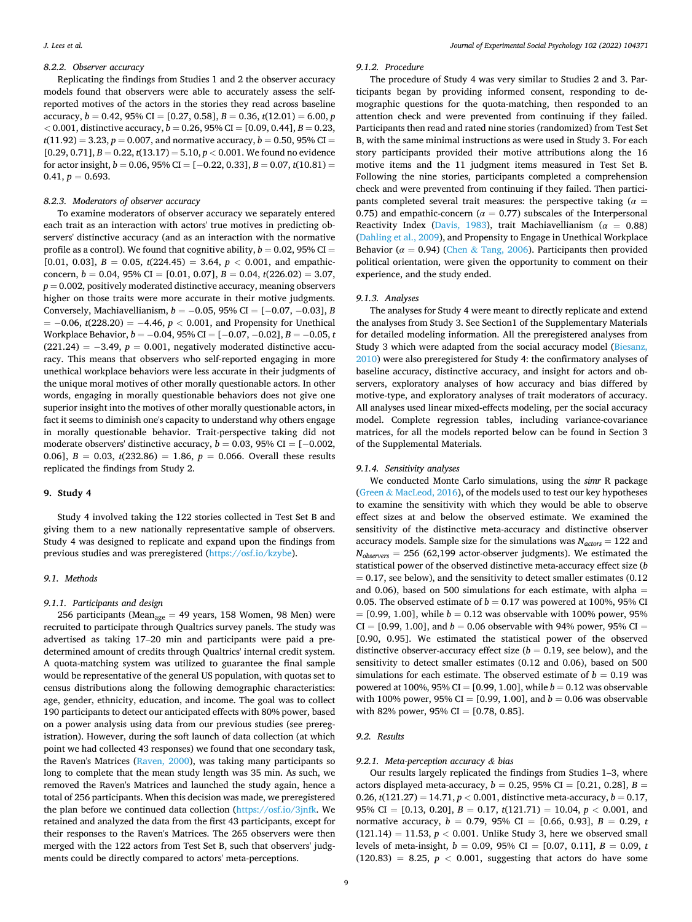# *8.2.2. Observer accuracy*

Replicating the findings from Studies 1 and 2 the observer accuracy models found that observers were able to accurately assess the selfreported motives of the actors in the stories they read across baseline accuracy,  $b = 0.42$ , 95% CI = [0.27, 0.58],  $B = 0.36$ ,  $t(12.01) = 6.00$ , *p*  $<$  0.001, distinctive accuracy, *b* = 0.26, 95% CI = [0.09, 0.44], *B* = 0.23,  $t(11.92) = 3.23, p = 0.007$ , and normative accuracy,  $b = 0.50, 95\%$  CI =  $[0.29, 0.71], B = 0.22, t(13.17) = 5.10, p < 0.001$ . We found no evidence for actor insight,  $b = 0.06$ ,  $95\%$  CI = [-0.22, 0.33],  $B = 0.07$ ,  $t(10.81)$  =  $0.41, p = 0.693.$ 

#### *8.2.3. Moderators of observer accuracy*

To examine moderators of observer accuracy we separately entered each trait as an interaction with actors' true motives in predicting observers' distinctive accuracy (and as an interaction with the normative profile as a control). We found that cognitive ability,  $b = 0.02$ , 95% CI = [0.01, 0.03],  $B = 0.05$ ,  $t(224.45) = 3.64$ ,  $p < 0.001$ , and empathicconcern,  $b = 0.04$ , 95% CI = [0.01, 0.07],  $B = 0.04$ ,  $t(226.02) = 3.07$ ,  $p = 0.002$ , positively moderated distinctive accuracy, meaning observers higher on those traits were more accurate in their motive judgments. Conversely, Machiavellianism,  $b = -0.05$ , 95% CI = [-0.07, -0.03], *B*  $= -0.06$ , *t*(228.20) =  $-4.46$ ,  $p < 0.001$ , and Propensity for Unethical Workplace Behavior, *b* = − 0.04, 95% CI = [− 0.07, − 0.02], *B* = − 0.05, *t*   $(221.24) = -3.49$ ,  $p = 0.001$ , negatively moderated distinctive accuracy. This means that observers who self-reported engaging in more unethical workplace behaviors were less accurate in their judgments of the unique moral motives of other morally questionable actors. In other words, engaging in morally questionable behaviors does not give one superior insight into the motives of other morally questionable actors, in fact it seems to diminish one's capacity to understand why others engage in morally questionable behavior. Trait-perspective taking did not moderate observers' distinctive accuracy,  $b = 0.03$ , 95% CI = [-0.002, 0.06],  $B = 0.03$ ,  $t(232.86) = 1.86$ ,  $p = 0.066$ . Overall these results replicated the findings from Study 2.

#### **9. Study 4**

Study 4 involved taking the 122 stories collected in Test Set B and giving them to a new nationally representative sample of observers. Study 4 was designed to replicate and expand upon the findings from previous studies and was preregistered [\(https://osf.io/kzybe](https://osf.io/kzybe)).

#### *9.1. Methods*

# *9.1.1. Participants and design*

256 participants (Mean<sub>age</sub> = 49 years, 158 Women, 98 Men) were recruited to participate through Qualtrics survey panels. The study was advertised as taking 17–20 min and participants were paid a predetermined amount of credits through Qualtrics' internal credit system. A quota-matching system was utilized to guarantee the final sample would be representative of the general US population, with quotas set to census distributions along the following demographic characteristics: age, gender, ethnicity, education, and income. The goal was to collect 190 participants to detect our anticipated effects with 80% power, based on a power analysis using data from our previous studies (see preregistration). However, during the soft launch of data collection (at which point we had collected 43 responses) we found that one secondary task, the Raven's Matrices ([Raven, 2000](#page-13-0)), was taking many participants so long to complete that the mean study length was 35 min. As such, we removed the Raven's Matrices and launched the study again, hence a total of 256 participants. When this decision was made, we preregistered the plan before we continued data collection (<https://osf.io/3jnfk>. We retained and analyzed the data from the first 43 participants, except for their responses to the Raven's Matrices. The 265 observers were then merged with the 122 actors from Test Set B, such that observers' judgments could be directly compared to actors' meta-perceptions.

# *9.1.2. Procedure*

The procedure of Study 4 was very similar to Studies 2 and 3. Participants began by providing informed consent, responding to demographic questions for the quota-matching, then responded to an attention check and were prevented from continuing if they failed. Participants then read and rated nine stories (randomized) from Test Set B, with the same minimal instructions as were used in Study 3. For each story participants provided their motive attributions along the 16 motive items and the 11 judgment items measured in Test Set B. Following the nine stories, participants completed a comprehension check and were prevented from continuing if they failed. Then participants completed several trait measures: the perspective taking (*α* = 0.75) and empathic-concern ( $\alpha = 0.77$ ) subscales of the Interpersonal Reactivity Index [\(Davis, 1983\)](#page-12-0), trait Machiavellianism (*α* = 0.88) ([Dahling et al., 2009](#page-12-0)), and Propensity to Engage in Unethical Workplace Behavior ( $\alpha = 0.94$ ) (Chen & [Tang, 2006\)](#page-12-0). Participants then provided political orientation, were given the opportunity to comment on their experience, and the study ended.

## *9.1.3. Analyses*

The analyses for Study 4 were meant to directly replicate and extend the analyses from Study 3. See Section1 of the Supplementary Materials for detailed modeling information. All the preregistered analyses from Study 3 which were adapted from the social accuracy model ([Biesanz,](#page-12-0)  [2010\)](#page-12-0) were also preregistered for Study 4: the confirmatory analyses of baseline accuracy, distinctive accuracy, and insight for actors and observers, exploratory analyses of how accuracy and bias differed by motive-type, and exploratory analyses of trait moderators of accuracy. All analyses used linear mixed-effects modeling, per the social accuracy model. Complete regression tables, including variance-covariance matrices, for all the models reported below can be found in Section 3 of the Supplemental Materials.

## *9.1.4. Sensitivity analyses*

We conducted Monte Carlo simulations, using the *simr* R package (Green & [MacLeod, 2016](#page-12-0)), of the models used to test our key hypotheses to examine the sensitivity with which they would be able to observe effect sizes at and below the observed estimate. We examined the sensitivity of the distinctive meta-accuracy and distinctive observer accuracy models. Sample size for the simulations was  $N_{actors} = 122$  and  $N_{observers}$  = 256 (62,199 actor-observer judgments). We estimated the statistical power of the observed distinctive meta-accuracy effect size (*b*   $= 0.17$ , see below), and the sensitivity to detect smaller estimates (0.12 and 0.06), based on 500 simulations for each estimate, with alpha  $=$ 0.05. The observed estimate of  $b = 0.17$  was powered at 100%, 95% CI  $=[0.99, 1.00]$ , while  $b = 0.12$  was observable with 100% power, 95%  $CI = [0.99, 1.00]$ , and  $b = 0.06$  observable with 94% power, 95%  $CI =$ [0.90, 0.95]. We estimated the statistical power of the observed distinctive observer-accuracy effect size  $(b = 0.19)$ , see below), and the sensitivity to detect smaller estimates (0.12 and 0.06), based on 500 simulations for each estimate. The observed estimate of  $b = 0.19$  was powered at 100%, 95% CI = [0.99, 1.00], while *b* = 0.12 was observable with 100% power, 95% CI = [0.99, 1.00], and  $b = 0.06$  was observable with 82% power, 95% CI =  $[0.78, 0.85]$ .

# *9.2. Results*

## *9.2.1. Meta-perception accuracy & bias*

Our results largely replicated the findings from Studies 1–3, where actors displayed meta-accuracy, *b* = 0.25, 95% CI = [0.21, 0.28], *B* = 0.26, *t*(121.27) = 14.71, *p <* 0.001, distinctive meta-accuracy, *b* = 0.17, 95% CI = [0.13, 0.20], *B* = 0.17, *t*(121.71) = 10.04, *p <* 0.001, and normative accuracy, *b* = 0.79, 95% CI = [0.66, 0.93], *B* = 0.29, *t*   $(121.14) = 11.53, p < 0.001$ . Unlike Study 3, here we observed small levels of meta-insight,  $b = 0.09$ , 95% CI = [0.07, 0.11],  $B = 0.09$ , *t*  $(120.83) = 8.25, p < 0.001$ , suggesting that actors do have some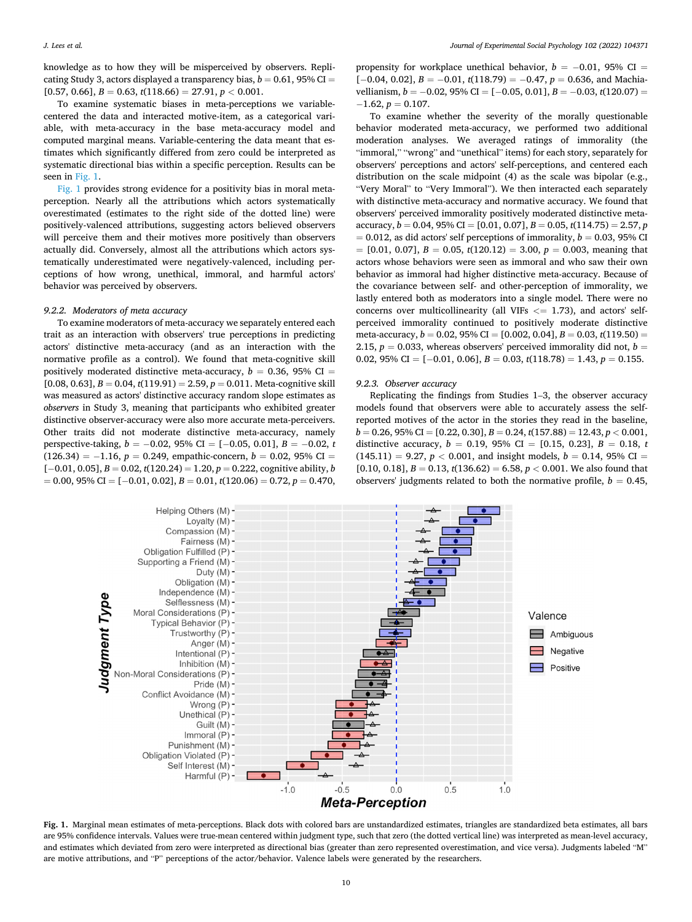knowledge as to how they will be misperceived by observers. Replicating Study 3, actors displayed a transparency bias,  $b = 0.61$ , 95% CI =  $[0.57, 0.66], B = 0.63, t(118.66) = 27.91, p < 0.001.$ 

To examine systematic biases in meta-perceptions we variablecentered the data and interacted motive-item, as a categorical variable, with meta-accuracy in the base meta-accuracy model and computed marginal means. Variable-centering the data meant that estimates which significantly differed from zero could be interpreted as systematic directional bias within a specific perception. Results can be seen in Fig. 1.

Fig. 1 provides strong evidence for a positivity bias in moral metaperception. Nearly all the attributions which actors systematically overestimated (estimates to the right side of the dotted line) were positively-valenced attributions, suggesting actors believed observers will perceive them and their motives more positively than observers actually did. Conversely, almost all the attributions which actors systematically underestimated were negatively-valenced, including perceptions of how wrong, unethical, immoral, and harmful actors' behavior was perceived by observers.

## *9.2.2. Moderators of meta accuracy*

To examine moderators of meta-accuracy we separately entered each trait as an interaction with observers' true perceptions in predicting actors' distinctive meta-accuracy (and as an interaction with the normative profile as a control). We found that meta-cognitive skill positively moderated distinctive meta-accuracy,  $b = 0.36$ , 95% CI =  $[0.08, 0.63], B = 0.04, t(119.91) = 2.59, p = 0.011$ . Meta-cognitive skill was measured as actors' distinctive accuracy random slope estimates as *observers* in Study 3, meaning that participants who exhibited greater distinctive observer-accuracy were also more accurate meta-perceivers. Other traits did not moderate distinctive meta-accuracy, namely perspective-taking, *b* = −0.02, 95% CI = [−0.05, 0.01], *B* = −0.02, *t*  $(126.34) = -1.16$ ,  $p = 0.249$ , empathic-concern,  $b = 0.02$ , 95% CI = [− 0.01, 0.05], *B* = 0.02, *t*(120.24) = 1.20, *p* = 0.222, cognitive ability, *b*  = 0.00, 95% CI = [− 0.01, 0.02], *B* = 0.01, *t*(120.06) = 0.72, *p* = 0.470,

propensity for workplace unethical behavior,  $b = -0.01$ , 95% CI = [-0.04, 0.02], *B* = -0.01, *t*(118.79) = -0.47, *p* = 0.636, and Machiavellianism, *b* = −0.02, 95% CI = [−0.05, 0.01], *B* = −0.03, *t*(120.07) =  $-1.62, p = 0.107.$ 

To examine whether the severity of the morally questionable behavior moderated meta-accuracy, we performed two additional moderation analyses. We averaged ratings of immorality (the "immoral," "wrong" and "unethical" items) for each story, separately for observers' perceptions and actors' self-perceptions, and centered each distribution on the scale midpoint (4) as the scale was bipolar (e.g., "Very Moral" to "Very Immoral"). We then interacted each separately with distinctive meta-accuracy and normative accuracy. We found that observers' perceived immorality positively moderated distinctive metaaccuracy, *b* = 0.04, 95% CI = [0.01, 0.07], *B* = 0.05, *t*(114.75) = 2.57, *p*   $= 0.012$ , as did actors' self perceptions of immorality,  $b = 0.03$ , 95% CI  $= [0.01, 0.07], B = 0.05, t(120.12) = 3.00, p = 0.003$ , meaning that actors whose behaviors were seen as immoral and who saw their own behavior as immoral had higher distinctive meta-accuracy. Because of the covariance between self- and other-perception of immorality, we lastly entered both as moderators into a single model. There were no concerns over multicollinearity (all VIFs *<*= 1.73), and actors' selfperceived immorality continued to positively moderate distinctive meta-accuracy, *b* = 0.02, 95% CI = [0.002, 0.04], *B* = 0.03, *t*(119.50) = 2.15,  $p = 0.033$ , whereas observers' perceived immorality did not,  $b =$ 0.02, 95% CI =  $[-0.01, 0.06]$ ,  $B = 0.03$ ,  $t(118.78) = 1.43$ ,  $p = 0.155$ .

## *9.2.3. Observer accuracy*

Replicating the findings from Studies 1–3, the observer accuracy models found that observers were able to accurately assess the selfreported motives of the actor in the stories they read in the baseline, *b* = 0.26, 95% CI = [0.22, 0.30], *B* = 0.24, *t*(157.88) = 12.43, *p <* 0.001, distinctive accuracy,  $b = 0.19$ , 95% CI = [0.15, 0.23],  $B = 0.18$ , *t*  $(145.11) = 9.27, p < 0.001$ , and insight models,  $b = 0.14, 95\%$  CI =  $[0.10, 0.18], B = 0.13, t(136.62) = 6.58, p < 0.001$ . We also found that observers' judgments related to both the normative profile,  $b = 0.45$ ,



**Fig. 1.** Marginal mean estimates of meta-perceptions. Black dots with colored bars are unstandardized estimates, triangles are standardized beta estimates, all bars are 95% confidence intervals. Values were true-mean centered within judgment type, such that zero (the dotted vertical line) was interpreted as mean-level accuracy, and estimates which deviated from zero were interpreted as directional bias (greater than zero represented overestimation, and vice versa). Judgments labeled "M" are motive attributions, and "P" perceptions of the actor/behavior. Valence labels were generated by the researchers.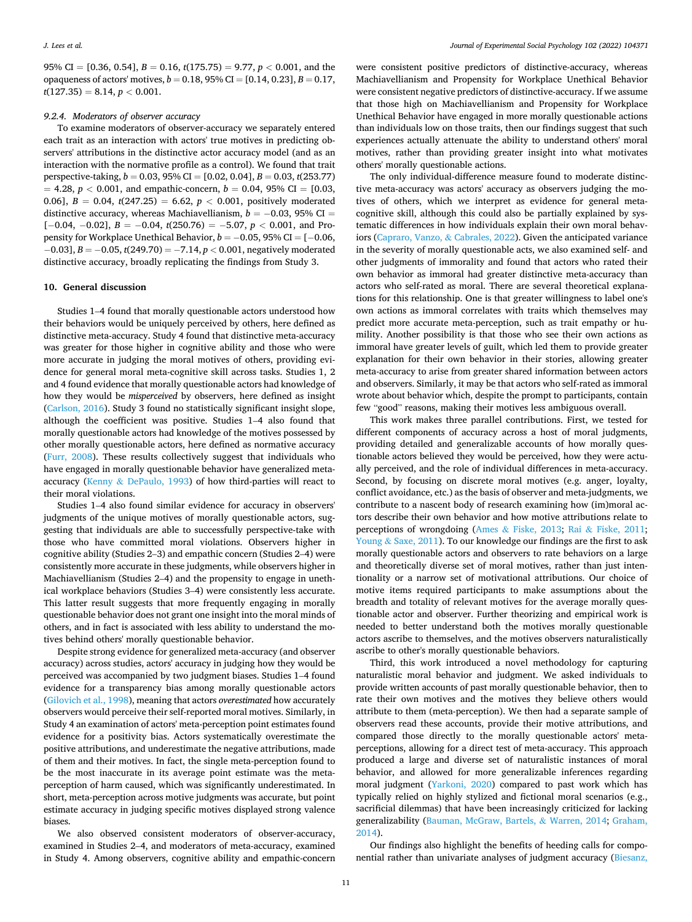95% CI =  $[0.36, 0.54]$ ,  $B = 0.16$ ,  $t(175.75) = 9.77$ ,  $p < 0.001$ , and the opaqueness of actors' motives,  $b = 0.18$ , 95% CI = [0.14, 0.23],  $B = 0.17$ ,  $t(127.35) = 8.14, p < 0.001.$ 

## *9.2.4. Moderators of observer accuracy*

To examine moderators of observer-accuracy we separately entered each trait as an interaction with actors' true motives in predicting observers' attributions in the distinctive actor accuracy model (and as an interaction with the normative profile as a control). We found that trait perspective-taking, *b* = 0.03, 95% CI = [0.02, 0.04], *B* = 0.03, *t*(253.77)  $= 4.28, p < 0.001$ , and empathic-concern,  $b = 0.04, 95\% \text{ CI} = [0.03,$ 0.06],  $B = 0.04$ ,  $t(247.25) = 6.62$ ,  $p < 0.001$ , positively moderated distinctive accuracy, whereas Machiavellianism,  $b = -0.03$ , 95% CI = [− 0.04, − 0.02], *B* = − 0.04, *t*(250.76) = − 5.07, *p <* 0.001, and Propensity for Workplace Unethical Behavior, *b* = −0.05, 95% CI = [−0.06, − 0.03], *B* = − 0.05, *t*(249.70) = − 7.14, *p <* 0.001, negatively moderated distinctive accuracy, broadly replicating the findings from Study 3.

# **10. General discussion**

Studies 1–4 found that morally questionable actors understood how their behaviors would be uniquely perceived by others, here defined as distinctive meta-accuracy. Study 4 found that distinctive meta-accuracy was greater for those higher in cognitive ability and those who were more accurate in judging the moral motives of others, providing evidence for general moral meta-cognitive skill across tasks. Studies 1, 2 and 4 found evidence that morally questionable actors had knowledge of how they would be *misperceived* by observers, here defined as insight ([Carlson, 2016\)](#page-12-0). Study 3 found no statistically significant insight slope, although the coefficient was positive. Studies 1–4 also found that morally questionable actors had knowledge of the motives possessed by other morally questionable actors, here defined as normative accuracy ([Furr, 2008\)](#page-12-0). These results collectively suggest that individuals who have engaged in morally questionable behavior have generalized metaaccuracy (Kenny & [DePaulo, 1993\)](#page-13-0) of how third-parties will react to their moral violations.

Studies 1–4 also found similar evidence for accuracy in observers' judgments of the unique motives of morally questionable actors, suggesting that individuals are able to successfully perspective-take with those who have committed moral violations. Observers higher in cognitive ability (Studies 2–3) and empathic concern (Studies 2–4) were consistently more accurate in these judgments, while observers higher in Machiavellianism (Studies 2–4) and the propensity to engage in unethical workplace behaviors (Studies 3–4) were consistently less accurate. This latter result suggests that more frequently engaging in morally questionable behavior does not grant one insight into the moral minds of others, and in fact is associated with less ability to understand the motives behind others' morally questionable behavior.

Despite strong evidence for generalized meta-accuracy (and observer accuracy) across studies, actors' accuracy in judging how they would be perceived was accompanied by two judgment biases. Studies 1–4 found evidence for a transparency bias among morally questionable actors ([Gilovich et al., 1998\)](#page-12-0), meaning that actors *overestimated* how accurately observers would perceive their self-reported moral motives. Similarly, in Study 4 an examination of actors' meta-perception point estimates found evidence for a positivity bias. Actors systematically overestimate the positive attributions, and underestimate the negative attributions, made of them and their motives. In fact, the single meta-perception found to be the most inaccurate in its average point estimate was the metaperception of harm caused, which was significantly underestimated. In short, meta-perception across motive judgments was accurate, but point estimate accuracy in judging specific motives displayed strong valence biases.

We also observed consistent moderators of observer-accuracy, examined in Studies 2–4, and moderators of meta-accuracy, examined in Study 4. Among observers, cognitive ability and empathic-concern

were consistent positive predictors of distinctive-accuracy, whereas Machiavellianism and Propensity for Workplace Unethical Behavior were consistent negative predictors of distinctive-accuracy. If we assume that those high on Machiavellianism and Propensity for Workplace Unethical Behavior have engaged in more morally questionable actions than individuals low on those traits, then our findings suggest that such experiences actually attenuate the ability to understand others' moral motives, rather than providing greater insight into what motivates others' morally questionable actions.

The only individual-difference measure found to moderate distinctive meta-accuracy was actors' accuracy as observers judging the motives of others, which we interpret as evidence for general metacognitive skill, although this could also be partially explained by systematic differences in how individuals explain their own moral behaviors ([Capraro, Vanzo,](#page-12-0) & Cabrales, 2022). Given the anticipated variance in the severity of morally questionable acts, we also examined self- and other judgments of immorality and found that actors who rated their own behavior as immoral had greater distinctive meta-accuracy than actors who self-rated as moral. There are several theoretical explanations for this relationship. One is that greater willingness to label one's own actions as immoral correlates with traits which themselves may predict more accurate meta-perception, such as trait empathy or humility. Another possibility is that those who see their own actions as immoral have greater levels of guilt, which led them to provide greater explanation for their own behavior in their stories, allowing greater meta-accuracy to arise from greater shared information between actors and observers. Similarly, it may be that actors who self-rated as immoral wrote about behavior which, despite the prompt to participants, contain few "good" reasons, making their motives less ambiguous overall.

This work makes three parallel contributions. First, we tested for different components of accuracy across a host of moral judgments, providing detailed and generalizable accounts of how morally questionable actors believed they would be perceived, how they were actually perceived, and the role of individual differences in meta-accuracy. Second, by focusing on discrete moral motives (e.g. anger, loyalty, conflict avoidance, etc.) as the basis of observer and meta-judgments, we contribute to a nascent body of research examining how (im)moral actors describe their own behavior and how motive attributions relate to perceptions of wrongdoing (Ames & [Fiske, 2013;](#page-12-0) Rai & [Fiske, 2011](#page-13-0); Young & [Saxe, 2011\)](#page-13-0). To our knowledge our findings are the first to ask morally questionable actors and observers to rate behaviors on a large and theoretically diverse set of moral motives, rather than just intentionality or a narrow set of motivational attributions. Our choice of motive items required participants to make assumptions about the breadth and totality of relevant motives for the average morally questionable actor and observer. Further theorizing and empirical work is needed to better understand both the motives morally questionable actors ascribe to themselves, and the motives observers naturalistically ascribe to other's morally questionable behaviors.

Third, this work introduced a novel methodology for capturing naturalistic moral behavior and judgment. We asked individuals to provide written accounts of past morally questionable behavior, then to rate their own motives and the motives they believe others would attribute to them (meta-perception). We then had a separate sample of observers read these accounts, provide their motive attributions, and compared those directly to the morally questionable actors' metaperceptions, allowing for a direct test of meta-accuracy. This approach produced a large and diverse set of naturalistic instances of moral behavior, and allowed for more generalizable inferences regarding moral judgment ([Yarkoni, 2020](#page-13-0)) compared to past work which has typically relied on highly stylized and fictional moral scenarios (e.g., sacrificial dilemmas) that have been increasingly criticized for lacking generalizability [\(Bauman, McGraw, Bartels,](#page-12-0) & Warren, 2014; [Graham,](#page-12-0)  [2014\)](#page-12-0).

Our findings also highlight the benefits of heeding calls for componential rather than univariate analyses of judgment accuracy ([Biesanz,](#page-12-0)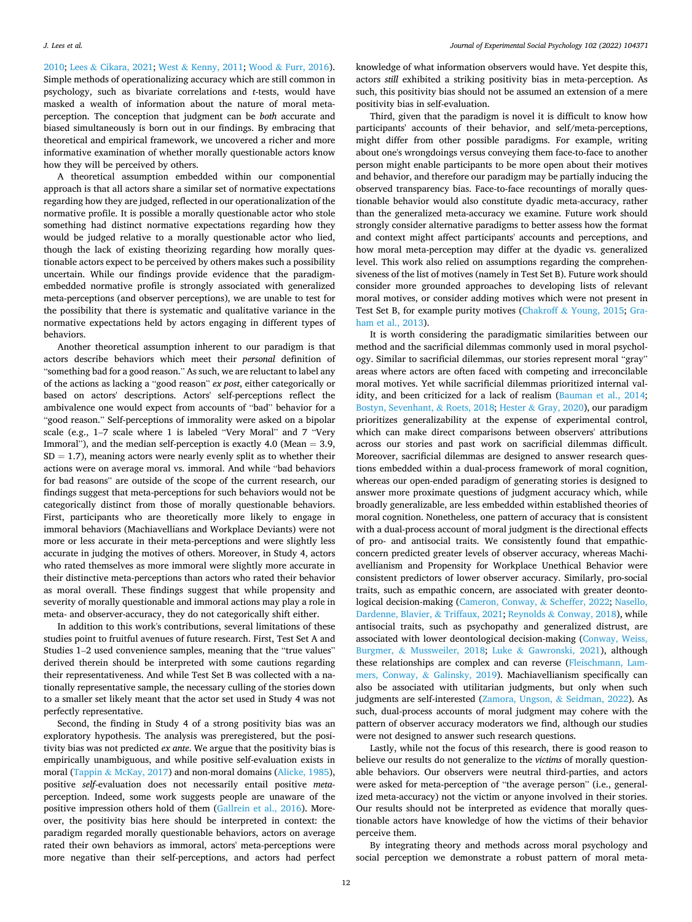[2010;](#page-12-0) Lees & [Cikara, 2021;](#page-13-0) West & [Kenny, 2011;](#page-13-0) Wood & [Furr, 2016](#page-13-0)). Simple methods of operationalizing accuracy which are still common in psychology, such as bivariate correlations and *t*-tests, would have masked a wealth of information about the nature of moral metaperception. The conception that judgment can be *both* accurate and biased simultaneously is born out in our findings. By embracing that theoretical and empirical framework, we uncovered a richer and more informative examination of whether morally questionable actors know how they will be perceived by others.

A theoretical assumption embedded within our componential approach is that all actors share a similar set of normative expectations regarding how they are judged, reflected in our operationalization of the normative profile. It is possible a morally questionable actor who stole something had distinct normative expectations regarding how they would be judged relative to a morally questionable actor who lied, though the lack of existing theorizing regarding how morally questionable actors expect to be perceived by others makes such a possibility uncertain. While our findings provide evidence that the paradigmembedded normative profile is strongly associated with generalized meta-perceptions (and observer perceptions), we are unable to test for the possibility that there is systematic and qualitative variance in the normative expectations held by actors engaging in different types of behaviors.

Another theoretical assumption inherent to our paradigm is that actors describe behaviors which meet their *personal* definition of "something bad for a good reason." As such, we are reluctant to label any of the actions as lacking a "good reason" *ex post*, either categorically or based on actors' descriptions. Actors' self-perceptions reflect the ambivalence one would expect from accounts of "bad" behavior for a "good reason." Self-perceptions of immorality were asked on a bipolar scale (e.g., 1–7 scale where 1 is labeled "Very Moral" and 7 "Very Immoral"), and the median self-perception is exactly 4.0 (Mean  $= 3.9$ ,  $SD = 1.7$ ), meaning actors were nearly evenly split as to whether their actions were on average moral vs. immoral. And while "bad behaviors for bad reasons" are outside of the scope of the current research, our findings suggest that meta-perceptions for such behaviors would not be categorically distinct from those of morally questionable behaviors. First, participants who are theoretically more likely to engage in immoral behaviors (Machiavellians and Workplace Deviants) were not more or less accurate in their meta-perceptions and were slightly less accurate in judging the motives of others. Moreover, in Study 4, actors who rated themselves as more immoral were slightly more accurate in their distinctive meta-perceptions than actors who rated their behavior as moral overall. These findings suggest that while propensity and severity of morally questionable and immoral actions may play a role in meta- and observer-accuracy, they do not categorically shift either.

In addition to this work's contributions, several limitations of these studies point to fruitful avenues of future research. First, Test Set A and Studies 1–2 used convenience samples, meaning that the "true values" derived therein should be interpreted with some cautions regarding their representativeness. And while Test Set B was collected with a nationally representative sample, the necessary culling of the stories down to a smaller set likely meant that the actor set used in Study 4 was not perfectly representative.

Second, the finding in Study 4 of a strong positivity bias was an exploratory hypothesis. The analysis was preregistered, but the positivity bias was not predicted *ex ante*. We argue that the positivity bias is empirically unambiguous, and while positive self-evaluation exists in moral (Tappin & [McKay, 2017\)](#page-13-0) and non-moral domains [\(Alicke, 1985](#page-12-0)), positive *self*-evaluation does not necessarily entail positive *meta*perception. Indeed, some work suggests people are unaware of the positive impression others hold of them ([Gallrein et al., 2016\)](#page-12-0). Moreover, the positivity bias here should be interpreted in context: the paradigm regarded morally questionable behaviors, actors on average rated their own behaviors as immoral, actors' meta-perceptions were more negative than their self-perceptions, and actors had perfect

knowledge of what information observers would have. Yet despite this, actors *still* exhibited a striking positivity bias in meta-perception. As such, this positivity bias should not be assumed an extension of a mere positivity bias in self-evaluation.

Third, given that the paradigm is novel it is difficult to know how participants' accounts of their behavior, and self/meta-perceptions, might differ from other possible paradigms. For example, writing about one's wrongdoings versus conveying them face-to-face to another person might enable participants to be more open about their motives and behavior, and therefore our paradigm may be partially inducing the observed transparency bias. Face-to-face recountings of morally questionable behavior would also constitute dyadic meta-accuracy, rather than the generalized meta-accuracy we examine. Future work should strongly consider alternative paradigms to better assess how the format and context might affect participants' accounts and perceptions, and how moral meta-perception may differ at the dyadic vs. generalized level. This work also relied on assumptions regarding the comprehensiveness of the list of motives (namely in Test Set B). Future work should consider more grounded approaches to developing lists of relevant moral motives, or consider adding motives which were not present in Test Set B, for example purity motives (Chakroff & [Young, 2015](#page-12-0); [Gra](#page-12-0)[ham et al., 2013\)](#page-12-0).

It is worth considering the paradigmatic similarities between our method and the sacrificial dilemmas commonly used in moral psychology. Similar to sacrificial dilemmas, our stories represent moral "gray" areas where actors are often faced with competing and irreconcilable moral motives. Yet while sacrificial dilemmas prioritized internal validity, and been criticized for a lack of realism [\(Bauman et al., 2014](#page-12-0); [Bostyn, Sevenhant,](#page-12-0) & Roets, 2018; Hester & [Gray, 2020\)](#page-13-0), our paradigm prioritizes generalizability at the expense of experimental control, which can make direct comparisons between observers' attributions across our stories and past work on sacrificial dilemmas difficult. Moreover, sacrificial dilemmas are designed to answer research questions embedded within a dual-process framework of moral cognition, whereas our open-ended paradigm of generating stories is designed to answer more proximate questions of judgment accuracy which, while broadly generalizable, are less embedded within established theories of moral cognition. Nonetheless, one pattern of accuracy that is consistent with a dual-process account of moral judgment is the directional effects of pro- and antisocial traits. We consistently found that empathicconcern predicted greater levels of observer accuracy, whereas Machiavellianism and Propensity for Workplace Unethical Behavior were consistent predictors of lower observer accuracy. Similarly, pro-social traits, such as empathic concern, are associated with greater deontological decision-making ([Cameron, Conway,](#page-12-0) & Scheffer, 2022; [Nasello,](#page-13-0)  [Dardenne, Blavier,](#page-13-0) & Triffaux, 2021; Reynolds & [Conway, 2018\)](#page-13-0), while antisocial traits, such as psychopathy and generalized distrust, are associated with lower deontological decision-making ([Conway, Weiss,](#page-12-0)  Burgmer, & [Mussweiler, 2018;](#page-12-0) Luke & [Gawronski, 2021](#page-13-0)), although these relationships are complex and can reverse ([Fleischmann, Lam](#page-12-0)[mers, Conway,](#page-12-0) & Galinsky, 2019). Machiavellianism specifically can also be associated with utilitarian judgments, but only when such judgments are self-interested [\(Zamora, Ungson,](#page-13-0) & Seidman, 2022). As such, dual-process accounts of moral judgment may cohere with the pattern of observer accuracy moderators we find, although our studies were not designed to answer such research questions.

Lastly, while not the focus of this research, there is good reason to believe our results do not generalize to the *victims* of morally questionable behaviors. Our observers were neutral third-parties, and actors were asked for meta-perception of "the average person" (i.e., generalized meta-accuracy) not the victim or anyone involved in their stories. Our results should not be interpreted as evidence that morally questionable actors have knowledge of how the victims of their behavior perceive them.

By integrating theory and methods across moral psychology and social perception we demonstrate a robust pattern of moral meta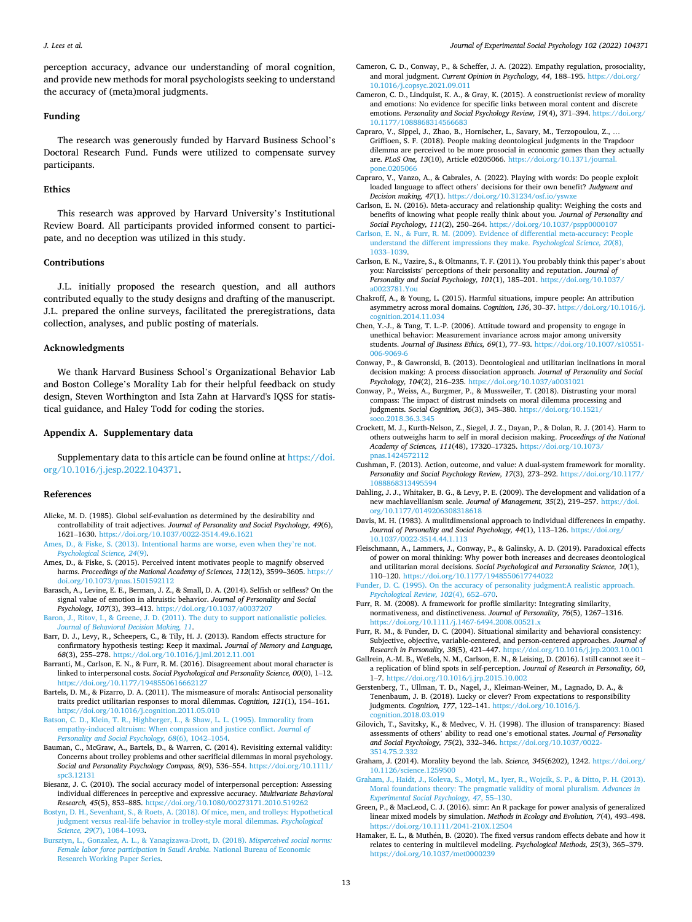<span id="page-12-0"></span>perception accuracy, advance our understanding of moral cognition, and provide new methods for moral psychologists seeking to understand the accuracy of (meta)moral judgments.

# **Funding**

The research was generously funded by Harvard Business School's Doctoral Research Fund. Funds were utilized to compensate survey participants.

# **Ethics**

This research was approved by Harvard University's Institutional Review Board. All participants provided informed consent to participate, and no deception was utilized in this study.

## **Contributions**

J.L. initially proposed the research question, and all authors contributed equally to the study designs and drafting of the manuscript. J.L. prepared the online surveys, facilitated the preregistrations, data collection, analyses, and public posting of materials.

# **Acknowledgments**

We thank Harvard Business School's Organizational Behavior Lab and Boston College's Morality Lab for their helpful feedback on study design, Steven Worthington and Ista Zahn at Harvard's IQSS for statistical guidance, and Haley Todd for coding the stories.

# **Appendix A. Supplementary data**

Supplementary data to this article can be found online at [https://doi.](https://doi.org/10.1016/j.jesp.2022.104371)  [org/10.1016/j.jesp.2022.104371.](https://doi.org/10.1016/j.jesp.2022.104371)

## **References**

- Alicke, M. D. (1985). Global self-evaluation as determined by the desirability and controllability of trait adjectives. *Journal of Personality and Social Psychology, 49*(6), 1621–1630.<https://doi.org/10.1037/0022-3514.49.6.1621>
- [Ames, D., & Fiske, S. \(2013\). Intentional harms are worse, even when they](http://refhub.elsevier.com/S0022-1031(22)00090-7/rf0010)'re not. *[Psychological Science, 24](http://refhub.elsevier.com/S0022-1031(22)00090-7/rf0010)*(9).
- Ames, D., & Fiske, S. (2015). Perceived intent motivates people to magnify observed harms. *Proceedings of the National Academy of Sciences, 112*(12), 3599–3605. [https://](https://doi.org/10.1073/pnas.1501592112)  [doi.org/10.1073/pnas.1501592112](https://doi.org/10.1073/pnas.1501592112)
- Barasch, A., Levine, E. E., Berman, J. Z., & Small, D. A. (2014). Selfish or selfless? On the signal value of emotion in altruistic behavior. *Journal of Personality and Social Psychology, 107*(3), 393–413.<https://doi.org/10.1037/a0037207>
- [Baron, J., Ritov, I., & Greene, J. D. \(2011\). The duty to support nationalistic policies.](http://refhub.elsevier.com/S0022-1031(22)00090-7/rf0025)  *[Journal of Behavioral Decision Making, 11](http://refhub.elsevier.com/S0022-1031(22)00090-7/rf0025)*.
- Barr, D. J., Levy, R., Scheepers, C., & Tily, H. J. (2013). Random effects structure for confirmatory hypothesis testing: Keep it maximal. *Journal of Memory and Language, 68*(3), 255–278. <https://doi.org/10.1016/j.jml.2012.11.001>
- Barranti, M., Carlson, E. N., & Furr, R. M. (2016). Disagreement about moral character is linked to interpersonal costs. *Social Psychological and Personality Science, 00*(0), 1–12. <https://doi.org/10.1177/1948550616662127>
- Bartels, D. M., & Pizarro, D. A. (2011). The mismeasure of morals: Antisocial personality traits predict utilitarian responses to moral dilemmas. *Cognition, 121*(1), 154–161. <https://doi.org/10.1016/j.cognition.2011.05.010>
- [Batson, C. D., Klein, T. R., Highberger, L., & Shaw, L. L. \(1995\). Immorality from](http://refhub.elsevier.com/S0022-1031(22)00090-7/rf0045)  [empathy-induced altruism: When compassion and justice conflict.](http://refhub.elsevier.com/S0022-1031(22)00090-7/rf0045) *Journal of [Personality and Social Psychology, 68](http://refhub.elsevier.com/S0022-1031(22)00090-7/rf0045)*(6), 1042–1054.
- Bauman, C., McGraw, A., Bartels, D., & Warren, C. (2014). Revisiting external validity: Concerns about trolley problems and other sacrificial dilemmas in moral psychology. *Social and Personality Psychology Compass, 8*(9), 536–554. [https://doi.org/10.1111/](https://doi.org/10.1111/spc3.12131)  [spc3.12131](https://doi.org/10.1111/spc3.12131)
- Biesanz, J. C. (2010). The social accuracy model of interpersonal perception: Assessing individual differences in perceptive and expressive accuracy. *Multivariate Behavioral Research, 45*(5), 853–885.<https://doi.org/10.1080/00273171.2010.519262>
- [Bostyn, D. H., Sevenhant, S., & Roets, A. \(2018\). Of mice, men, and trolleys: Hypothetical](http://refhub.elsevier.com/S0022-1031(22)00090-7/rf0060)  [judgment versus real-life behavior in trolley-style moral dilemmas.](http://refhub.elsevier.com/S0022-1031(22)00090-7/rf0060) *Psychological [Science, 29](http://refhub.elsevier.com/S0022-1031(22)00090-7/rf0060)*(7), 1084–1093.
- [Bursztyn, L., Gonzalez, A. L., & Yanagizawa-Drott, D. \(2018\).](http://refhub.elsevier.com/S0022-1031(22)00090-7/rf0065) *Misperceived social norms: [Female labor force participation in Saudi Arabia](http://refhub.elsevier.com/S0022-1031(22)00090-7/rf0065)*. National Bureau of Economic [Research Working Paper Series](http://refhub.elsevier.com/S0022-1031(22)00090-7/rf0065).
- Cameron, C. D., Conway, P., & Scheffer, J. A. (2022). Empathy regulation, prosociality, and moral judgment. *Current Opinion in Psychology, 44*, 188–195. [https://doi.org/](https://doi.org/10.1016/j.copsyc.2021.09.011) [10.1016/j.copsyc.2021.09.011](https://doi.org/10.1016/j.copsyc.2021.09.011)
- Cameron, C. D., Lindquist, K. A., & Gray, K. (2015). A constructionist review of morality and emotions: No evidence for specific links between moral content and discrete emotions. *Personality and Social Psychology Review, 19*(4), 371–394. [https://doi.org/](https://doi.org/10.1177/1088868314566683)  10.1177/108886831456668
- Capraro, V., Sippel, J., Zhao, B., Hornischer, L., Savary, M., Terzopoulou, Z., … Griffioen, S. F. (2018). People making deontological judgments in the Trapdoor dilemma are perceived to be more prosocial in economic games than they actually are. *PLoS One, 13*(10), Article e0205066. [https://doi.org/10.1371/journal.](https://doi.org/10.1371/journal.pone.0205066) [pone.0205066](https://doi.org/10.1371/journal.pone.0205066)
- Capraro, V., Vanzo, A., & Cabrales, A. (2022). Playing with words: Do people exploit loaded language to affect others' decisions for their own benefit? *Judgment and Decision making, 47(1). https://doi.org/10.31234/osf.io/*
- Carlson, E. N. (2016). Meta-accuracy and relationship quality: Weighing the costs and benefits of knowing what people really think about you. *Journal of Personality and Social Psychology, 111*(2), 250–264. <https://doi.org/10.1037/pspp0000107>
- [Carlson, E. N., & Furr, R. M. \(2009\). Evidence of differential meta-accuracy: People](http://refhub.elsevier.com/S0022-1031(22)00090-7/rf0095) [understand the different impressions they make.](http://refhub.elsevier.com/S0022-1031(22)00090-7/rf0095) *Psychological Science, 20*(8), [1033](http://refhub.elsevier.com/S0022-1031(22)00090-7/rf0095)–1039.
- Carlson, E. N., Vazire, S., & Oltmanns, T. F. (2011). You probably think this paper's about you: Narcissists' perceptions of their personality and reputation. *Journal of Personality and Social Psychology, 101*(1), 185–201. [https://doi.org/10.1037/](https://doi.org/10.1037/a0023781.You) [a0023781.You](https://doi.org/10.1037/a0023781.You)
- Chakroff, A., & Young, L. (2015). Harmful situations, impure people: An attribution asymmetry across moral domains. *Cognition, 136*, 30–37. [https://doi.org/10.1016/j.](https://doi.org/10.1016/j.cognition.2014.11.034)  [cognition.2014.11.034](https://doi.org/10.1016/j.cognition.2014.11.034)
- Chen, Y.-J., & Tang, T. L.-P. (2006). Attitude toward and propensity to engage in unethical behavior: Measurement invariance across major among university students. *Journal of Business Ethics, 69*(1), 77–93. [https://doi.org/10.1007/s10551-](https://doi.org/10.1007/s10551-006-9069-6)  [006-9069-6](https://doi.org/10.1007/s10551-006-9069-6)
- Conway, P., & Gawronski, B. (2013). Deontological and utilitarian inclinations in moral decision making: A process dissociation approach. *Journal of Personality and Social Psychology, 104*(2), 216–235.<https://doi.org/10.1037/a0031021>
- Conway, P., Weiss, A., Burgmer, P., & Mussweiler, T. (2018). Distrusting your moral compass: The impact of distrust mindsets on moral dilemma processing and judgments. *Social Cognition, 36*(3), 345–380. [https://doi.org/10.1521/](https://doi.org/10.1521/soco.2018.36.3.345)  oco.2018.36.3.345
- Crockett, M. J., Kurth-Nelson, Z., Siegel, J. Z., Dayan, P., & Dolan, R. J. (2014). Harm to others outweighs harm to self in moral decision making. *Proceedings of the National Academy of Sciences, 111*(48), 17320–17325. [https://doi.org/10.1073/](https://doi.org/10.1073/pnas.1424572112)  [pnas.1424572112](https://doi.org/10.1073/pnas.1424572112)
- Cushman, F. (2013). Action, outcome, and value: A dual-system framework for morality. *Personality and Social Psychology Review, 17*(3), 273–292. [https://doi.org/10.1177/](https://doi.org/10.1177/1088868313495594)  [1088868313495594](https://doi.org/10.1177/1088868313495594)
- Dahling, J. J., Whitaker, B. G., & Levy, P. E. (2009). The development and validation of a new machiavellianism scale. *Journal of Management, 35*(2), 219–257. [https://doi.](https://doi.org/10.1177/0149206308318618) [org/10.1177/0149206308318618](https://doi.org/10.1177/0149206308318618)
- Davis, M. H. (1983). A mulitdimensional approach to individual differences in empathy. *Journal of Personality and Social Psychology, 44*(1), 113–126. [https://doi.org/](https://doi.org/10.1037/0022-3514.44.1.113) [10.1037/0022-3514.44.1.113](https://doi.org/10.1037/0022-3514.44.1.113)
- Fleischmann, A., Lammers, J., Conway, P., & Galinsky, A. D. (2019). Paradoxical effects of power on moral thinking: Why power both increases and decreases deontological and utilitarian moral decisions. *Social Psychological and Personality Science, 10*(1), 110–120. <https://doi.org/10.1177/1948550617744022>
- [Funder, D. C. \(1995\). On the accuracy of personality judgment:A realistic approach.](http://refhub.elsevier.com/S0022-1031(22)00090-7/rf0150)  *[Psychological Review, 102](http://refhub.elsevier.com/S0022-1031(22)00090-7/rf0150)*(4), 652–670.
- Furr, R. M. (2008). A framework for profile similarity: Integrating similarity, normativeness, and distinctiveness. *Journal of Personality, 76*(5), 1267–1316. https://doi.org/10.1111/j.1467-6494.2008.00521.x
- Furr, R. M., & Funder, D. C. (2004). Situational similarity and behavioral consistency: Subjective, objective, variable-centered, and person-centered approaches. *Journal of Research in Personality, 38*(5), 421–447. <https://doi.org/10.1016/j.jrp.2003.10.001>
- Gallrein, A.-M. B., Weßels, N. M., Carlson, E. N., & Leising, D. (2016). I still cannot see it a replication of blind spots in self-perception. *Journal of Research in Personality, 60*, 1–7. <https://doi.org/10.1016/j.jrp.2015.10.002>
- Gerstenberg, T., Ullman, T. D., Nagel, J., Kleiman-Weiner, M., Lagnado, D. A., & Tenenbaum, J. B. (2018). Lucky or clever? From expectations to responsibility judgments. *Cognition, 177*, 122–141. [https://doi.org/10.1016/j.](https://doi.org/10.1016/j.cognition.2018.03.019)  [cognition.2018.03.019](https://doi.org/10.1016/j.cognition.2018.03.019)
- Gilovich, T., Savitsky, K., & Medvec, V. H. (1998). The illusion of transparency: Biased assessments of others' ability to read one's emotional states. *Journal of Personality and Social Psychology, 75*(2), 332–346. [https://doi.org/10.1037/0022-](https://doi.org/10.1037/0022-3514.75.2.332) [3514.75.2.332](https://doi.org/10.1037/0022-3514.75.2.332)
- Graham, J. (2014). Morality beyond the lab. *Science, 345*(6202), 1242. [https://doi.org/](https://doi.org/10.1126/science.1259500)  [10.1126/science.1259500](https://doi.org/10.1126/science.1259500)
- [Graham, J., Haidt, J., Koleva, S., Motyl, M., Iyer, R., Wojcik, S. P., & Ditto, P. H. \(2013\).](http://refhub.elsevier.com/S0022-1031(22)00090-7/rf0185)  [Moral foundations theory: The pragmatic validity of moral pluralism.](http://refhub.elsevier.com/S0022-1031(22)00090-7/rf0185) *Advances in [Experimental Social Psychology, 47](http://refhub.elsevier.com/S0022-1031(22)00090-7/rf0185)*, 55–130.
- Green, P., & MacLeod, C. J. (2016). simr: An R package for power analysis of generalized linear mixed models by simulation. *Methods in Ecology and Evolution, 7*(4), 493–498. <https://doi.org/10.1111/2041-210X.12504>
- Hamaker, E. L., & Muthén, B. (2020). The fixed versus random effects debate and how it relates to centering in multilevel modeling. *Psychological Methods, 25*(3), 365–379. <https://doi.org/10.1037/met0000239>